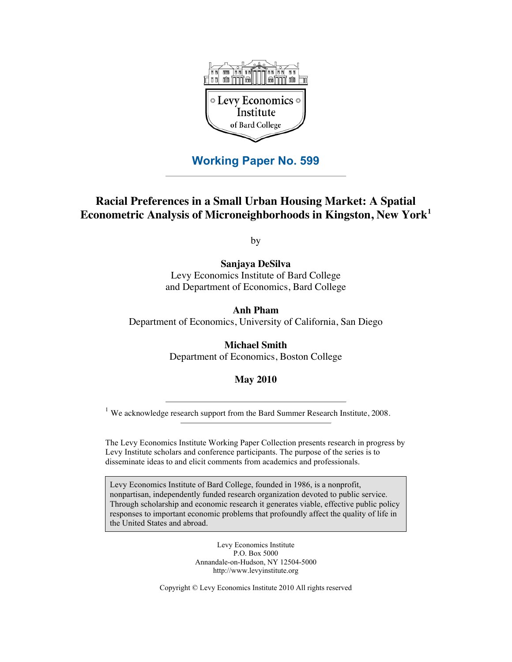

## **Working Paper No. 599**

# **Racial Preferences in a Small Urban Housing Market: A Spatial Econometric Analysis of Microneighborhoods in Kingston, New York1**

by

**Sanjaya DeSilva** Levy Economics Institute of Bard College and Department of Economics, Bard College

**Anh Pham** Department of Economics, University of California, San Diego

> **Michael Smith** Department of Economics, Boston College

> > **May 2010**

<sup>1</sup> We acknowledge research support from the Bard Summer Research Institute, 2008.

The Levy Economics Institute Working Paper Collection presents research in progress by Levy Institute scholars and conference participants. The purpose of the series is to disseminate ideas to and elicit comments from academics and professionals.

Levy Economics Institute of Bard College, founded in 1986, is a nonprofit, nonpartisan, independently funded research organization devoted to public service. Through scholarship and economic research it generates viable, effective public policy responses to important economic problems that profoundly affect the quality of life in the United States and abroad.

> Levy Economics Institute P.O. Box 5000 Annandale-on-Hudson, NY 12504-5000 http://www.levyinstitute.org

Copyright © Levy Economics Institute 2010 All rights reserved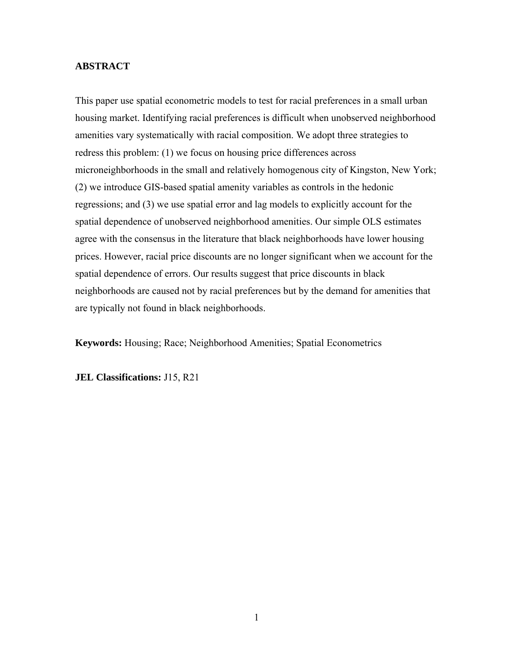### **ABSTRACT**

This paper use spatial econometric models to test for racial preferences in a small urban housing market. Identifying racial preferences is difficult when unobserved neighborhood amenities vary systematically with racial composition. We adopt three strategies to redress this problem: (1) we focus on housing price differences across microneighborhoods in the small and relatively homogenous city of Kingston, New York; (2) we introduce GIS-based spatial amenity variables as controls in the hedonic regressions; and (3) we use spatial error and lag models to explicitly account for the spatial dependence of unobserved neighborhood amenities. Our simple OLS estimates agree with the consensus in the literature that black neighborhoods have lower housing prices. However, racial price discounts are no longer significant when we account for the spatial dependence of errors. Our results suggest that price discounts in black neighborhoods are caused not by racial preferences but by the demand for amenities that are typically not found in black neighborhoods.

**Keywords:** Housing; Race; Neighborhood Amenities; Spatial Econometrics

**JEL Classifications:** J15, R21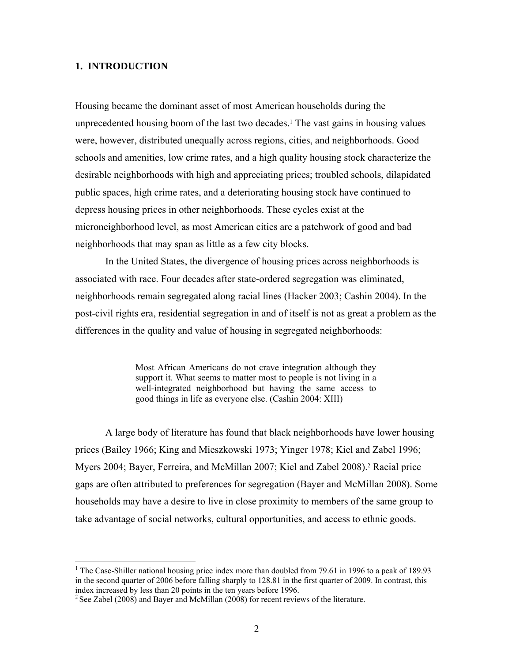### **1. INTRODUCTION**

 $\overline{a}$ 

Housing became the dominant asset of most American households during the unprecedented housing boom of the last two decades.<sup>1</sup> The vast gains in housing values were, however, distributed unequally across regions, cities, and neighborhoods. Good schools and amenities, low crime rates, and a high quality housing stock characterize the desirable neighborhoods with high and appreciating prices; troubled schools, dilapidated public spaces, high crime rates, and a deteriorating housing stock have continued to depress housing prices in other neighborhoods. These cycles exist at the microneighborhood level, as most American cities are a patchwork of good and bad neighborhoods that may span as little as a few city blocks.

In the United States, the divergence of housing prices across neighborhoods is associated with race. Four decades after state-ordered segregation was eliminated, neighborhoods remain segregated along racial lines (Hacker 2003; Cashin 2004). In the post-civil rights era, residential segregation in and of itself is not as great a problem as the differences in the quality and value of housing in segregated neighborhoods:

> Most African Americans do not crave integration although they support it. What seems to matter most to people is not living in a well-integrated neighborhood but having the same access to good things in life as everyone else. (Cashin 2004: XIII)

A large body of literature has found that black neighborhoods have lower housing prices (Bailey 1966; King and Mieszkowski 1973; Yinger 1978; Kiel and Zabel 1996; Myers 2004; Bayer, Ferreira, and McMillan 2007; Kiel and Zabel 2008).2 Racial price gaps are often attributed to preferences for segregation (Bayer and McMillan 2008). Some households may have a desire to live in close proximity to members of the same group to take advantage of social networks, cultural opportunities, and access to ethnic goods.

<sup>&</sup>lt;sup>1</sup> The Case-Shiller national housing price index more than doubled from 79.61 in 1996 to a peak of 189.93 in the second quarter of 2006 before falling sharply to 128.81 in the first quarter of 2009. In contrast, this index increased by less than 20 points in the ten years before 1996.

 $2$  See Zabel (2008) and Bayer and McMillan (2008) for recent reviews of the literature.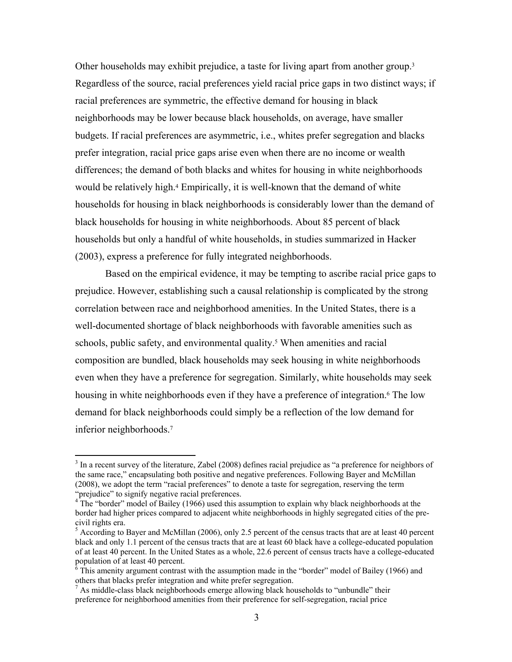Other households may exhibit prejudice, a taste for living apart from another group.3 Regardless of the source, racial preferences yield racial price gaps in two distinct ways; if racial preferences are symmetric, the effective demand for housing in black neighborhoods may be lower because black households, on average, have smaller budgets. If racial preferences are asymmetric, i.e., whites prefer segregation and blacks prefer integration, racial price gaps arise even when there are no income or wealth differences; the demand of both blacks and whites for housing in white neighborhoods would be relatively high.4 Empirically, it is well-known that the demand of white households for housing in black neighborhoods is considerably lower than the demand of black households for housing in white neighborhoods. About 85 percent of black households but only a handful of white households, in studies summarized in Hacker (2003), express a preference for fully integrated neighborhoods.

Based on the empirical evidence, it may be tempting to ascribe racial price gaps to prejudice. However, establishing such a causal relationship is complicated by the strong correlation between race and neighborhood amenities. In the United States, there is a well-documented shortage of black neighborhoods with favorable amenities such as schools, public safety, and environmental quality.<sup>5</sup> When amenities and racial composition are bundled, black households may seek housing in white neighborhoods even when they have a preference for segregation. Similarly, white households may seek housing in white neighborhoods even if they have a preference of integration.<sup>6</sup> The low demand for black neighborhoods could simply be a reflection of the low demand for inferior neighborhoods.7

 $\overline{a}$ 

 $3$  In a recent survey of the literature, Zabel (2008) defines racial prejudice as "a preference for neighbors of the same race," encapsulating both positive and negative preferences. Following Bayer and McMillan (2008), we adopt the term "racial preferences" to denote a taste for segregation, reserving the term "prejudice" to signify negative racial preferences. "prejudice" to signify negative racial preferences.<br><sup>4</sup> The "border" model of Bailey (1966) used this assumption to explain why black neighborhoods at the

border had higher prices compared to adjacent white neighborhoods in highly segregated cities of the precivil rights era.

<sup>&</sup>lt;sup>5</sup> According to Bayer and McMillan (2006), only 2.5 percent of the census tracts that are at least 40 percent black and only 1.1 percent of the census tracts that are at least 60 black have a college-educated population of at least 40 percent. In the United States as a whole, 22.6 percent of census tracts have a college-educated population of at least 40 percent.

This amenity argument contrast with the assumption made in the "border" model of Bailey (1966) and others that blacks prefer integration and white prefer segregation.

 $<sup>7</sup>$  As middle-class black neighborhoods emerge allowing black households to "unbundle" their</sup> preference for neighborhood amenities from their preference for self-segregation, racial price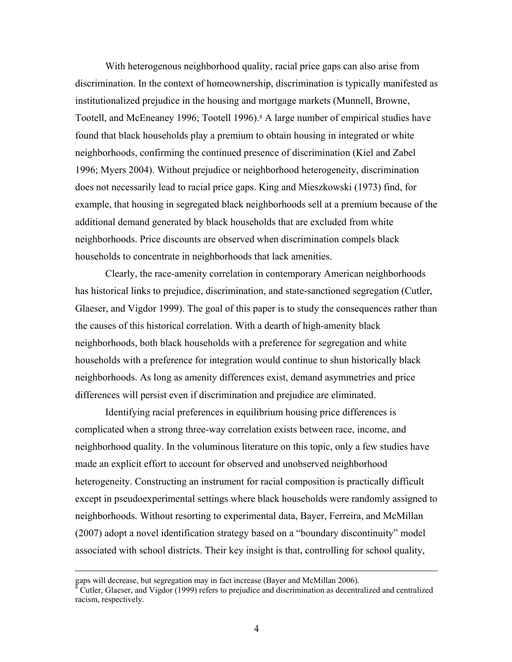With heterogenous neighborhood quality, racial price gaps can also arise from discrimination. In the context of homeownership, discrimination is typically manifested as institutionalized prejudice in the housing and mortgage markets (Munnell, Browne, Tootell, and McEneaney 1996; Tootell 1996).8 A large number of empirical studies have found that black households play a premium to obtain housing in integrated or white neighborhoods, confirming the continued presence of discrimination (Kiel and Zabel 1996; Myers 2004). Without prejudice or neighborhood heterogeneity, discrimination does not necessarily lead to racial price gaps. King and Mieszkowski (1973) find, for example, that housing in segregated black neighborhoods sell at a premium because of the additional demand generated by black households that are excluded from white neighborhoods. Price discounts are observed when discrimination compels black households to concentrate in neighborhoods that lack amenities.

Clearly, the race-amenity correlation in contemporary American neighborhoods has historical links to prejudice, discrimination, and state-sanctioned segregation (Cutler, Glaeser, and Vigdor 1999). The goal of this paper is to study the consequences rather than the causes of this historical correlation. With a dearth of high-amenity black neighborhoods, both black households with a preference for segregation and white households with a preference for integration would continue to shun historically black neighborhoods. As long as amenity differences exist, demand asymmetries and price differences will persist even if discrimination and prejudice are eliminated.

Identifying racial preferences in equilibrium housing price differences is complicated when a strong three-way correlation exists between race, income, and neighborhood quality. In the voluminous literature on this topic, only a few studies have made an explicit effort to account for observed and unobserved neighborhood heterogeneity. Constructing an instrument for racial composition is practically difficult except in pseudoexperimental settings where black households were randomly assigned to neighborhoods. Without resorting to experimental data, Bayer, Ferreira, and McMillan (2007) adopt a novel identification strategy based on a "boundary discontinuity" model associated with school districts. Their key insight is that, controlling for school quality,

gaps will decrease, but segregation may in fact increase (Bayer and McMillan 2006). 8

 $\delta$  Cutler, Glaeser, and Vigdor (1999) refers to prejudice and discrimination as decentralized and centralized racism, respectively.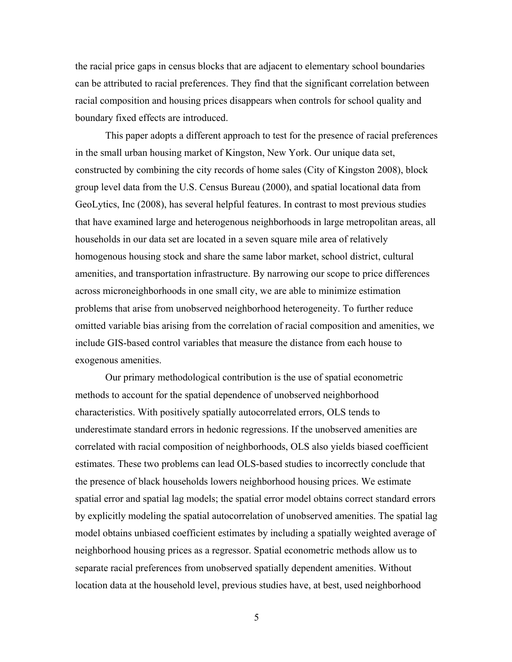the racial price gaps in census blocks that are adjacent to elementary school boundaries can be attributed to racial preferences. They find that the significant correlation between racial composition and housing prices disappears when controls for school quality and boundary fixed effects are introduced.

This paper adopts a different approach to test for the presence of racial preferences in the small urban housing market of Kingston, New York. Our unique data set, constructed by combining the city records of home sales (City of Kingston 2008), block group level data from the U.S. Census Bureau (2000), and spatial locational data from GeoLytics, Inc (2008), has several helpful features. In contrast to most previous studies that have examined large and heterogenous neighborhoods in large metropolitan areas, all households in our data set are located in a seven square mile area of relatively homogenous housing stock and share the same labor market, school district, cultural amenities, and transportation infrastructure. By narrowing our scope to price differences across microneighborhoods in one small city, we are able to minimize estimation problems that arise from unobserved neighborhood heterogeneity. To further reduce omitted variable bias arising from the correlation of racial composition and amenities, we include GIS-based control variables that measure the distance from each house to exogenous amenities.

Our primary methodological contribution is the use of spatial econometric methods to account for the spatial dependence of unobserved neighborhood characteristics. With positively spatially autocorrelated errors, OLS tends to underestimate standard errors in hedonic regressions. If the unobserved amenities are correlated with racial composition of neighborhoods, OLS also yields biased coefficient estimates. These two problems can lead OLS-based studies to incorrectly conclude that the presence of black households lowers neighborhood housing prices. We estimate spatial error and spatial lag models; the spatial error model obtains correct standard errors by explicitly modeling the spatial autocorrelation of unobserved amenities. The spatial lag model obtains unbiased coefficient estimates by including a spatially weighted average of neighborhood housing prices as a regressor. Spatial econometric methods allow us to separate racial preferences from unobserved spatially dependent amenities. Without location data at the household level, previous studies have, at best, used neighborhood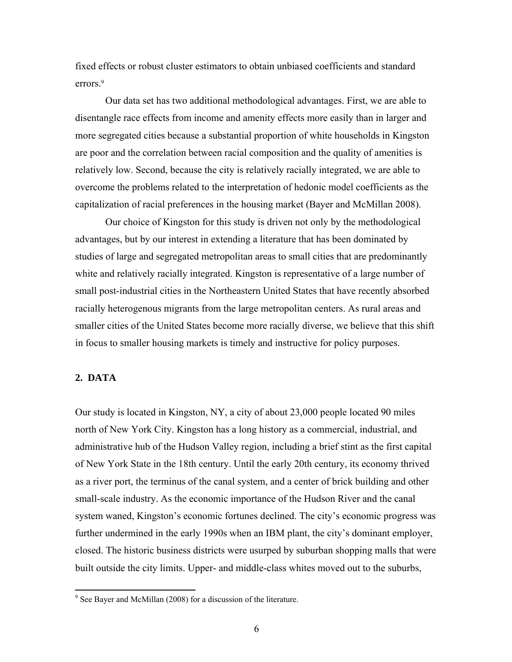fixed effects or robust cluster estimators to obtain unbiased coefficients and standard errors.<sup>9</sup>

Our data set has two additional methodological advantages. First, we are able to disentangle race effects from income and amenity effects more easily than in larger and more segregated cities because a substantial proportion of white households in Kingston are poor and the correlation between racial composition and the quality of amenities is relatively low. Second, because the city is relatively racially integrated, we are able to overcome the problems related to the interpretation of hedonic model coefficients as the capitalization of racial preferences in the housing market (Bayer and McMillan 2008).

Our choice of Kingston for this study is driven not only by the methodological advantages, but by our interest in extending a literature that has been dominated by studies of large and segregated metropolitan areas to small cities that are predominantly white and relatively racially integrated. Kingston is representative of a large number of small post-industrial cities in the Northeastern United States that have recently absorbed racially heterogenous migrants from the large metropolitan centers. As rural areas and smaller cities of the United States become more racially diverse, we believe that this shift in focus to smaller housing markets is timely and instructive for policy purposes.

### **2. DATA**

1

Our study is located in Kingston, NY, a city of about 23,000 people located 90 miles north of New York City. Kingston has a long history as a commercial, industrial, and administrative hub of the Hudson Valley region, including a brief stint as the first capital of New York State in the 18th century. Until the early 20th century, its economy thrived as a river port, the terminus of the canal system, and a center of brick building and other small-scale industry. As the economic importance of the Hudson River and the canal system waned, Kingston's economic fortunes declined. The city's economic progress was further undermined in the early 1990s when an IBM plant, the city's dominant employer, closed. The historic business districts were usurped by suburban shopping malls that were built outside the city limits. Upper- and middle-class whites moved out to the suburbs,

 $9^9$  See Bayer and McMillan (2008) for a discussion of the literature.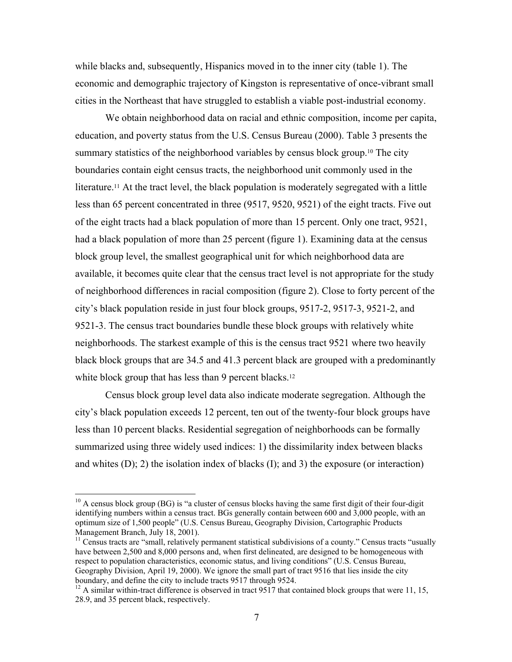while blacks and, subsequently, Hispanics moved in to the inner city (table 1). The economic and demographic trajectory of Kingston is representative of once-vibrant small cities in the Northeast that have struggled to establish a viable post-industrial economy.

We obtain neighborhood data on racial and ethnic composition, income per capita, education, and poverty status from the U.S. Census Bureau (2000). Table 3 presents the summary statistics of the neighborhood variables by census block group.10 The city boundaries contain eight census tracts, the neighborhood unit commonly used in the literature.<sup>11</sup> At the tract level, the black population is moderately segregated with a little less than 65 percent concentrated in three (9517, 9520, 9521) of the eight tracts. Five out of the eight tracts had a black population of more than 15 percent. Only one tract, 9521, had a black population of more than 25 percent (figure 1). Examining data at the census block group level, the smallest geographical unit for which neighborhood data are available, it becomes quite clear that the census tract level is not appropriate for the study of neighborhood differences in racial composition (figure 2). Close to forty percent of the city's black population reside in just four block groups, 9517-2, 9517-3, 9521-2, and 9521-3. The census tract boundaries bundle these block groups with relatively white neighborhoods. The starkest example of this is the census tract 9521 where two heavily black block groups that are 34.5 and 41.3 percent black are grouped with a predominantly white block group that has less than 9 percent blacks.<sup>12</sup>

Census block group level data also indicate moderate segregation. Although the city's black population exceeds 12 percent, ten out of the twenty-four block groups have less than 10 percent blacks. Residential segregation of neighborhoods can be formally summarized using three widely used indices: 1) the dissimilarity index between blacks and whites (D); 2) the isolation index of blacks (I); and 3) the exposure (or interaction)

 $10$  A census block group (BG) is "a cluster of census blocks having the same first digit of their four-digit identifying numbers within a census tract. BGs generally contain between 600 and 3,000 people, with an optimum size of 1,500 people" (U.S. Census Bureau, Geography Division, Cartographic Products Management Branch, July 18, 2001).

 $11$  Census tracts are "small, relatively permanent statistical subdivisions of a county." Census tracts "usually have between 2,500 and 8,000 persons and, when first delineated, are designed to be homogeneous with respect to population characteristics, economic status, and living conditions" (U.S. Census Bureau, Geography Division, April 19, 2000). We ignore the small part of tract 9516 that lies inside the city boundary, and define the city to include tracts 9517 through 9524.

<sup>&</sup>lt;sup>12</sup> A similar within-tract difference is observed in tract 9517 that contained block groups that were 11, 15, 28.9, and 35 percent black, respectively.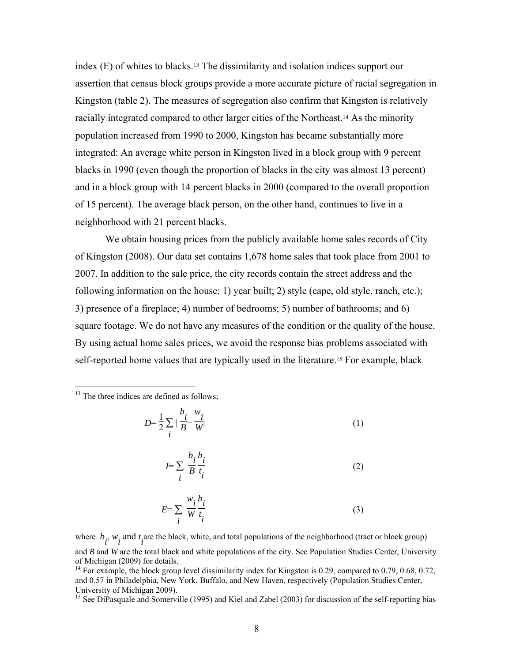index (E) of whites to blacks.13 The dissimilarity and isolation indices support our assertion that census block groups provide a more accurate picture of racial segregation in Kingston (table 2). The measures of segregation also confirm that Kingston is relatively racially integrated compared to other larger cities of the Northeast.14 As the minority population increased from 1990 to 2000, Kingston has became substantially more integrated: An average white person in Kingston lived in a block group with 9 percent blacks in 1990 (even though the proportion of blacks in the city was almost 13 percent) and in a block group with 14 percent blacks in 2000 (compared to the overall proportion of 15 percent). The average black person, on the other hand, continues to live in a neighborhood with 21 percent blacks.

We obtain housing prices from the publicly available home sales records of City of Kingston (2008). Our data set contains 1,678 home sales that took place from 2001 to 2007. In addition to the sale price, the city records contain the street address and the following information on the house: 1) year built; 2) style (cape, old style, ranch, etc.); 3) presence of a fireplace; 4) number of bedrooms; 5) number of bathrooms; and 6) square footage. We do not have any measures of the condition or the quality of the house. By using actual home sales prices, we avoid the response bias problems associated with self-reported home values that are typically used in the literature.15 For example, black

<sup>13</sup> The three indices are defined as follows;

 $\overline{a}$ 

$$
D = \frac{1}{2} \sum_{i} \left| \frac{b_i}{B} - \frac{w_i}{W} \right| \tag{1}
$$

$$
I = \sum_{i} \frac{b_i b_i}{B t_i} \tag{2}
$$

$$
E = \sum_{i} \frac{w_i}{W} \frac{b_i}{t_i}
$$
 (3)

where  $b_i$ ,  $w_i$  and  $t_i$  are the black, white, and total populations of the neighborhood (tract or block group) and *B* and *W* are the total black and white populations of the city. See Population Studies Center, University of Michigan (2009) for details.

<sup>14</sup> For example, the block group level dissimilarity index for Kingston is 0.29, compared to 0.79, 0.68, 0.72, and 0.57 in Philadelphia, New York, Buffalo, and New Haven, respectively (Population Studies Center, University of Michigan 2009).

<sup>15</sup> See DiPasquale and Somerville (1995) and Kiel and Zabel (2003) for discussion of the self-reporting bias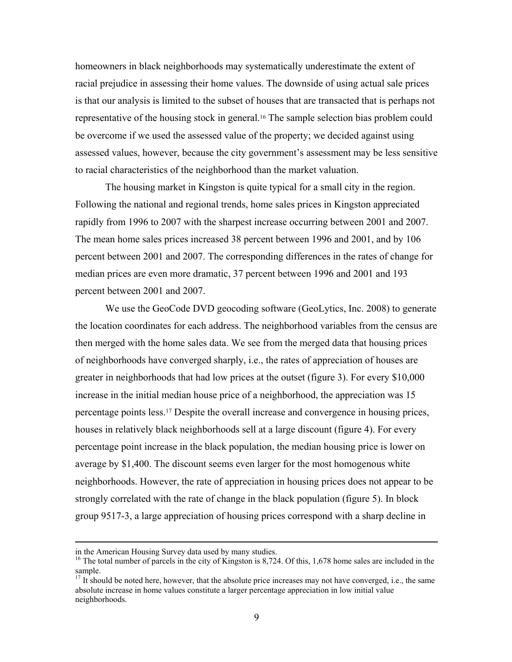homeowners in black neighborhoods may systematically underestimate the extent of racial prejudice in assessing their home values. The downside of using actual sale prices is that our analysis is limited to the subset of houses that are transacted that is perhaps not representative of the housing stock in general.16 The sample selection bias problem could be overcome if we used the assessed value of the property; we decided against using assessed values, however, because the city government's assessment may be less sensitive to racial characteristics of the neighborhood than the market valuation.

The housing market in Kingston is quite typical for a small city in the region. Following the national and regional trends, home sales prices in Kingston appreciated rapidly from 1996 to 2007 with the sharpest increase occurring between 2001 and 2007. The mean home sales prices increased 38 percent between 1996 and 2001, and by 106 percent between 2001 and 2007. The corresponding differences in the rates of change for median prices are even more dramatic, 37 percent between 1996 and 2001 and 193 percent between 2001 and 2007.

We use the GeoCode DVD geocoding software (GeoLytics, Inc. 2008) to generate the location coordinates for each address. The neighborhood variables from the census are then merged with the home sales data. We see from the merged data that housing prices of neighborhoods have converged sharply, i.e., the rates of appreciation of houses are greater in neighborhoods that had low prices at the outset (figure 3). For every \$10,000 increase in the initial median house price of a neighborhood, the appreciation was 15 percentage points less.17 Despite the overall increase and convergence in housing prices, houses in relatively black neighborhoods sell at a large discount (figure 4). For every percentage point increase in the black population, the median housing price is lower on average by \$1,400. The discount seems even larger for the most homogenous white neighborhoods. However, the rate of appreciation in housing prices does not appear to be strongly correlated with the rate of change in the black population (figure 5). In block group 9517-3, a large appreciation of housing prices correspond with a sharp decline in

in the American Housing Survey data used by many studies.

<sup>&</sup>lt;sup>16</sup> The total number of parcels in the city of Kingston is 8,724. Of this, 1,678 home sales are included in the sample.

 $17$  It should be noted here, however, that the absolute price increases may not have converged, i.e., the same absolute increase in home values constitute a larger percentage appreciation in low initial value neighborhoods.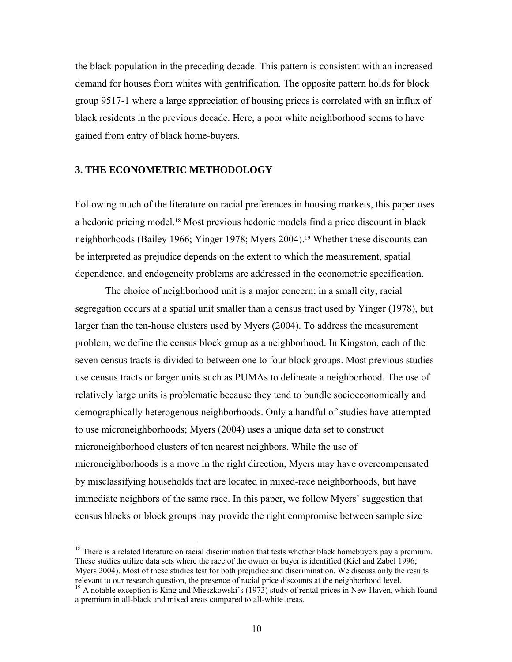the black population in the preceding decade. This pattern is consistent with an increased demand for houses from whites with gentrification. The opposite pattern holds for block group 9517-1 where a large appreciation of housing prices is correlated with an influx of black residents in the previous decade. Here, a poor white neighborhood seems to have gained from entry of black home-buyers.

### **3. THE ECONOMETRIC METHODOLOGY**

1

Following much of the literature on racial preferences in housing markets, this paper uses a hedonic pricing model.18 Most previous hedonic models find a price discount in black neighborhoods (Bailey 1966; Yinger 1978; Myers 2004).19 Whether these discounts can be interpreted as prejudice depends on the extent to which the measurement, spatial dependence, and endogeneity problems are addressed in the econometric specification.

The choice of neighborhood unit is a major concern; in a small city, racial segregation occurs at a spatial unit smaller than a census tract used by Yinger (1978), but larger than the ten-house clusters used by Myers (2004). To address the measurement problem, we define the census block group as a neighborhood. In Kingston, each of the seven census tracts is divided to between one to four block groups. Most previous studies use census tracts or larger units such as PUMAs to delineate a neighborhood. The use of relatively large units is problematic because they tend to bundle socioeconomically and demographically heterogenous neighborhoods. Only a handful of studies have attempted to use microneighborhoods; Myers (2004) uses a unique data set to construct microneighborhood clusters of ten nearest neighbors. While the use of microneighborhoods is a move in the right direction, Myers may have overcompensated by misclassifying households that are located in mixed-race neighborhoods, but have immediate neighbors of the same race. In this paper, we follow Myers' suggestion that census blocks or block groups may provide the right compromise between sample size

<sup>&</sup>lt;sup>18</sup> There is a related literature on racial discrimination that tests whether black homebuyers pay a premium. These studies utilize data sets where the race of the owner or buyer is identified (Kiel and Zabel 1996; Myers 2004). Most of these studies test for both prejudice and discrimination. We discuss only the results relevant to our research question, the presence of racial price discounts at the neighborhood level.<br><sup>19</sup> A notable exception is King and Mieszkowski's (1973) study of rental prices in New Haven, which found

a premium in all-black and mixed areas compared to all-white areas.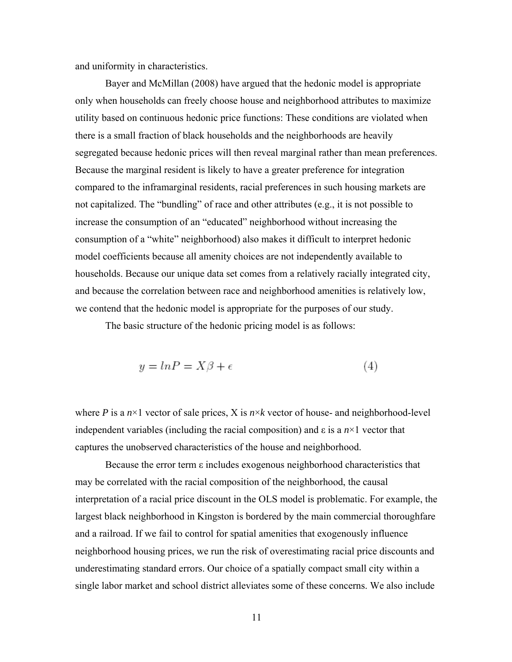and uniformity in characteristics.

Bayer and McMillan (2008) have argued that the hedonic model is appropriate only when households can freely choose house and neighborhood attributes to maximize utility based on continuous hedonic price functions: These conditions are violated when there is a small fraction of black households and the neighborhoods are heavily segregated because hedonic prices will then reveal marginal rather than mean preferences. Because the marginal resident is likely to have a greater preference for integration compared to the inframarginal residents, racial preferences in such housing markets are not capitalized. The "bundling" of race and other attributes (e.g., it is not possible to increase the consumption of an "educated" neighborhood without increasing the consumption of a "white" neighborhood) also makes it difficult to interpret hedonic model coefficients because all amenity choices are not independently available to households. Because our unique data set comes from a relatively racially integrated city, and because the correlation between race and neighborhood amenities is relatively low, we contend that the hedonic model is appropriate for the purposes of our study.

The basic structure of the hedonic pricing model is as follows:

$$
y = \ln P = X\beta + \epsilon \tag{4}
$$

where *P* is a  $n \times 1$  vector of sale prices, X is  $n \times k$  vector of house- and neighborhood-level independent variables (including the racial composition) and ε is a *n*×1 vector that captures the unobserved characteristics of the house and neighborhood.

Because the error term ε includes exogenous neighborhood characteristics that may be correlated with the racial composition of the neighborhood, the causal interpretation of a racial price discount in the OLS model is problematic. For example, the largest black neighborhood in Kingston is bordered by the main commercial thoroughfare and a railroad. If we fail to control for spatial amenities that exogenously influence neighborhood housing prices, we run the risk of overestimating racial price discounts and underestimating standard errors. Our choice of a spatially compact small city within a single labor market and school district alleviates some of these concerns. We also include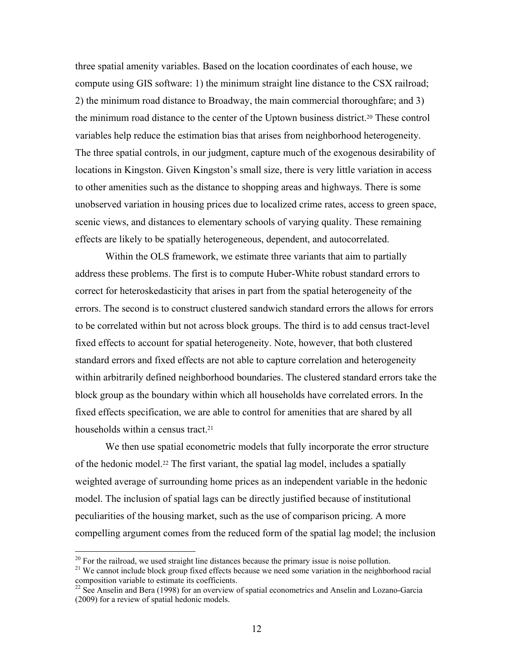three spatial amenity variables. Based on the location coordinates of each house, we compute using GIS software: 1) the minimum straight line distance to the CSX railroad; 2) the minimum road distance to Broadway, the main commercial thoroughfare; and 3) the minimum road distance to the center of the Uptown business district.20 These control variables help reduce the estimation bias that arises from neighborhood heterogeneity. The three spatial controls, in our judgment, capture much of the exogenous desirability of locations in Kingston. Given Kingston's small size, there is very little variation in access to other amenities such as the distance to shopping areas and highways. There is some unobserved variation in housing prices due to localized crime rates, access to green space, scenic views, and distances to elementary schools of varying quality. These remaining effects are likely to be spatially heterogeneous, dependent, and autocorrelated.

Within the OLS framework, we estimate three variants that aim to partially address these problems. The first is to compute Huber-White robust standard errors to correct for heteroskedasticity that arises in part from the spatial heterogeneity of the errors. The second is to construct clustered sandwich standard errors the allows for errors to be correlated within but not across block groups. The third is to add census tract-level fixed effects to account for spatial heterogeneity. Note, however, that both clustered standard errors and fixed effects are not able to capture correlation and heterogeneity within arbitrarily defined neighborhood boundaries. The clustered standard errors take the block group as the boundary within which all households have correlated errors. In the fixed effects specification, we are able to control for amenities that are shared by all households within a census tract.<sup>21</sup>

We then use spatial econometric models that fully incorporate the error structure of the hedonic model.22 The first variant, the spatial lag model, includes a spatially weighted average of surrounding home prices as an independent variable in the hedonic model. The inclusion of spatial lags can be directly justified because of institutional peculiarities of the housing market, such as the use of comparison pricing. A more compelling argument comes from the reduced form of the spatial lag model; the inclusion

 $\overline{a}$ 

<sup>&</sup>lt;sup>20</sup> For the railroad, we used straight line distances because the primary issue is noise pollution.<br><sup>21</sup> We cannot include block group fixed effects because we need some variation in the neighborhood racial composition v

 $^{22}$  See Anselin and Bera (1998) for an overview of spatial econometrics and Anselin and Lozano-Garcia (2009) for a review of spatial hedonic models.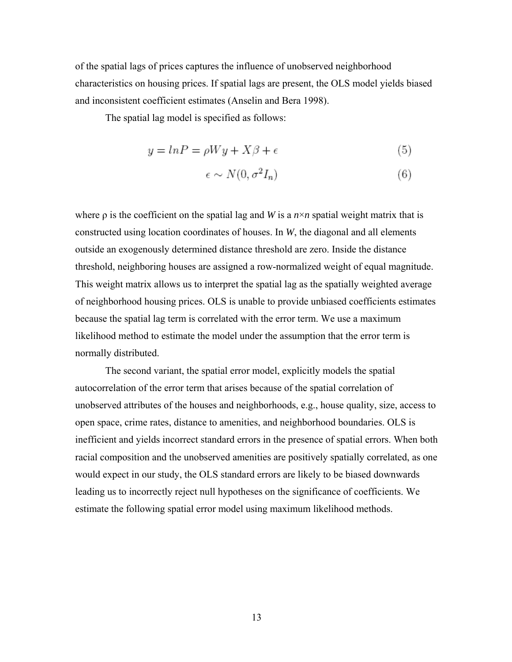of the spatial lags of prices captures the influence of unobserved neighborhood characteristics on housing prices. If spatial lags are present, the OLS model yields biased and inconsistent coefficient estimates (Anselin and Bera 1998).

The spatial lag model is specified as follows:

$$
y = \ln P = \rho Wy + X\beta + \epsilon \tag{5}
$$

$$
\epsilon \sim N(0, \sigma^2 I_n) \tag{6}
$$

where  $\rho$  is the coefficient on the spatial lag and *W* is a  $n \times n$  spatial weight matrix that is constructed using location coordinates of houses. In *W*, the diagonal and all elements outside an exogenously determined distance threshold are zero. Inside the distance threshold, neighboring houses are assigned a row-normalized weight of equal magnitude. This weight matrix allows us to interpret the spatial lag as the spatially weighted average of neighborhood housing prices. OLS is unable to provide unbiased coefficients estimates because the spatial lag term is correlated with the error term. We use a maximum likelihood method to estimate the model under the assumption that the error term is normally distributed.

The second variant, the spatial error model, explicitly models the spatial autocorrelation of the error term that arises because of the spatial correlation of unobserved attributes of the houses and neighborhoods, e.g., house quality, size, access to open space, crime rates, distance to amenities, and neighborhood boundaries. OLS is inefficient and yields incorrect standard errors in the presence of spatial errors. When both racial composition and the unobserved amenities are positively spatially correlated, as one would expect in our study, the OLS standard errors are likely to be biased downwards leading us to incorrectly reject null hypotheses on the significance of coefficients. We estimate the following spatial error model using maximum likelihood methods.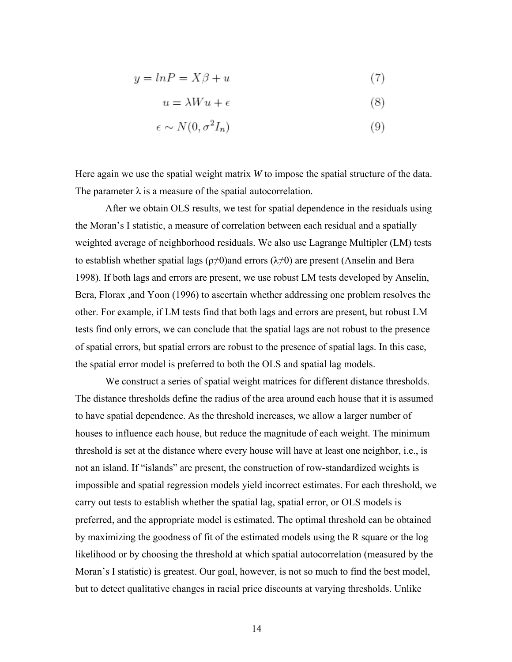$$
y = \ln P = X\beta + u \tag{7}
$$

$$
u = \lambda W u + \epsilon \tag{8}
$$

$$
\epsilon \sim N(0, \sigma^2 I_n) \tag{9}
$$

Here again we use the spatial weight matrix *W* to impose the spatial structure of the data. The parameter  $\lambda$  is a measure of the spatial autocorrelation.

After we obtain OLS results, we test for spatial dependence in the residuals using the Moran's I statistic, a measure of correlation between each residual and a spatially weighted average of neighborhood residuals. We also use Lagrange Multipler (LM) tests to establish whether spatial lags ( $\rho \neq 0$ )and errors ( $\lambda \neq 0$ ) are present (Anselin and Bera 1998). If both lags and errors are present, we use robust LM tests developed by Anselin, Bera, Florax ,and Yoon (1996) to ascertain whether addressing one problem resolves the other. For example, if LM tests find that both lags and errors are present, but robust LM tests find only errors, we can conclude that the spatial lags are not robust to the presence of spatial errors, but spatial errors are robust to the presence of spatial lags. In this case, the spatial error model is preferred to both the OLS and spatial lag models.

We construct a series of spatial weight matrices for different distance thresholds. The distance thresholds define the radius of the area around each house that it is assumed to have spatial dependence. As the threshold increases, we allow a larger number of houses to influence each house, but reduce the magnitude of each weight. The minimum threshold is set at the distance where every house will have at least one neighbor, i.e., is not an island. If "islands" are present, the construction of row-standardized weights is impossible and spatial regression models yield incorrect estimates. For each threshold, we carry out tests to establish whether the spatial lag, spatial error, or OLS models is preferred, and the appropriate model is estimated. The optimal threshold can be obtained by maximizing the goodness of fit of the estimated models using the R square or the log likelihood or by choosing the threshold at which spatial autocorrelation (measured by the Moran's I statistic) is greatest. Our goal, however, is not so much to find the best model, but to detect qualitative changes in racial price discounts at varying thresholds. Unlike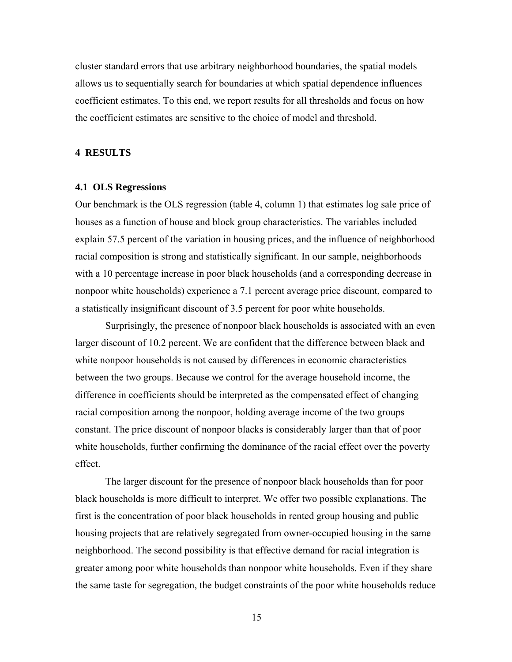cluster standard errors that use arbitrary neighborhood boundaries, the spatial models allows us to sequentially search for boundaries at which spatial dependence influences coefficient estimates. To this end, we report results for all thresholds and focus on how the coefficient estimates are sensitive to the choice of model and threshold.

### **4 RESULTS**

#### **4.1 OLS Regressions**

Our benchmark is the OLS regression (table 4, column 1) that estimates log sale price of houses as a function of house and block group characteristics. The variables included explain 57.5 percent of the variation in housing prices, and the influence of neighborhood racial composition is strong and statistically significant. In our sample, neighborhoods with a 10 percentage increase in poor black households (and a corresponding decrease in nonpoor white households) experience a 7.1 percent average price discount, compared to a statistically insignificant discount of 3.5 percent for poor white households.

Surprisingly, the presence of nonpoor black households is associated with an even larger discount of 10.2 percent. We are confident that the difference between black and white nonpoor households is not caused by differences in economic characteristics between the two groups. Because we control for the average household income, the difference in coefficients should be interpreted as the compensated effect of changing racial composition among the nonpoor, holding average income of the two groups constant. The price discount of nonpoor blacks is considerably larger than that of poor white households, further confirming the dominance of the racial effect over the poverty effect.

The larger discount for the presence of nonpoor black households than for poor black households is more difficult to interpret. We offer two possible explanations. The first is the concentration of poor black households in rented group housing and public housing projects that are relatively segregated from owner-occupied housing in the same neighborhood. The second possibility is that effective demand for racial integration is greater among poor white households than nonpoor white households. Even if they share the same taste for segregation, the budget constraints of the poor white households reduce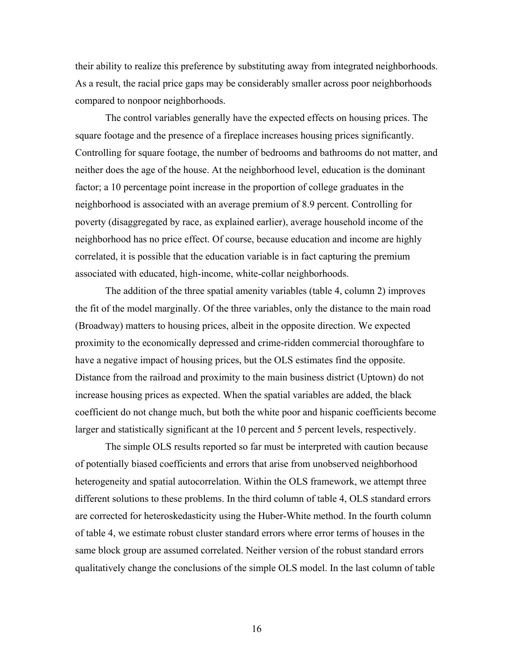their ability to realize this preference by substituting away from integrated neighborhoods. As a result, the racial price gaps may be considerably smaller across poor neighborhoods compared to nonpoor neighborhoods.

The control variables generally have the expected effects on housing prices. The square footage and the presence of a fireplace increases housing prices significantly. Controlling for square footage, the number of bedrooms and bathrooms do not matter, and neither does the age of the house. At the neighborhood level, education is the dominant factor; a 10 percentage point increase in the proportion of college graduates in the neighborhood is associated with an average premium of 8.9 percent. Controlling for poverty (disaggregated by race, as explained earlier), average household income of the neighborhood has no price effect. Of course, because education and income are highly correlated, it is possible that the education variable is in fact capturing the premium associated with educated, high-income, white-collar neighborhoods.

The addition of the three spatial amenity variables (table 4, column 2) improves the fit of the model marginally. Of the three variables, only the distance to the main road (Broadway) matters to housing prices, albeit in the opposite direction. We expected proximity to the economically depressed and crime-ridden commercial thoroughfare to have a negative impact of housing prices, but the OLS estimates find the opposite. Distance from the railroad and proximity to the main business district (Uptown) do not increase housing prices as expected. When the spatial variables are added, the black coefficient do not change much, but both the white poor and hispanic coefficients become larger and statistically significant at the 10 percent and 5 percent levels, respectively.

The simple OLS results reported so far must be interpreted with caution because of potentially biased coefficients and errors that arise from unobserved neighborhood heterogeneity and spatial autocorrelation. Within the OLS framework, we attempt three different solutions to these problems. In the third column of table 4, OLS standard errors are corrected for heteroskedasticity using the Huber-White method. In the fourth column of table 4, we estimate robust cluster standard errors where error terms of houses in the same block group are assumed correlated. Neither version of the robust standard errors qualitatively change the conclusions of the simple OLS model. In the last column of table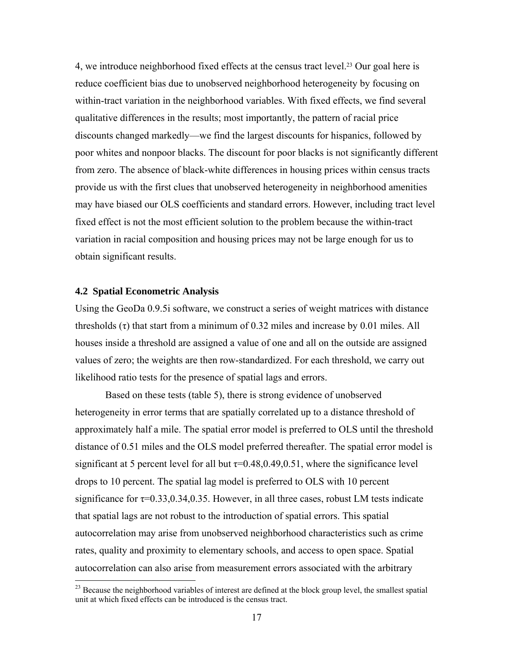4, we introduce neighborhood fixed effects at the census tract level.23 Our goal here is reduce coefficient bias due to unobserved neighborhood heterogeneity by focusing on within-tract variation in the neighborhood variables. With fixed effects, we find several qualitative differences in the results; most importantly, the pattern of racial price discounts changed markedly—we find the largest discounts for hispanics, followed by poor whites and nonpoor blacks. The discount for poor blacks is not significantly different from zero. The absence of black-white differences in housing prices within census tracts provide us with the first clues that unobserved heterogeneity in neighborhood amenities may have biased our OLS coefficients and standard errors. However, including tract level fixed effect is not the most efficient solution to the problem because the within-tract variation in racial composition and housing prices may not be large enough for us to obtain significant results.

### **4.2 Spatial Econometric Analysis**

1

Using the GeoDa 0.9.5i software, we construct a series of weight matrices with distance thresholds  $(\tau)$  that start from a minimum of 0.32 miles and increase by 0.01 miles. All houses inside a threshold are assigned a value of one and all on the outside are assigned values of zero; the weights are then row-standardized. For each threshold, we carry out likelihood ratio tests for the presence of spatial lags and errors.

Based on these tests (table 5), there is strong evidence of unobserved heterogeneity in error terms that are spatially correlated up to a distance threshold of approximately half a mile. The spatial error model is preferred to OLS until the threshold distance of 0.51 miles and the OLS model preferred thereafter. The spatial error model is significant at 5 percent level for all but  $\tau$ =0.48,0.49,0.51, where the significance level drops to 10 percent. The spatial lag model is preferred to OLS with 10 percent significance for  $\tau$ =0.33,0.34,0.35. However, in all three cases, robust LM tests indicate that spatial lags are not robust to the introduction of spatial errors. This spatial autocorrelation may arise from unobserved neighborhood characteristics such as crime rates, quality and proximity to elementary schools, and access to open space. Spatial autocorrelation can also arise from measurement errors associated with the arbitrary

 $23$  Because the neighborhood variables of interest are defined at the block group level, the smallest spatial unit at which fixed effects can be introduced is the census tract.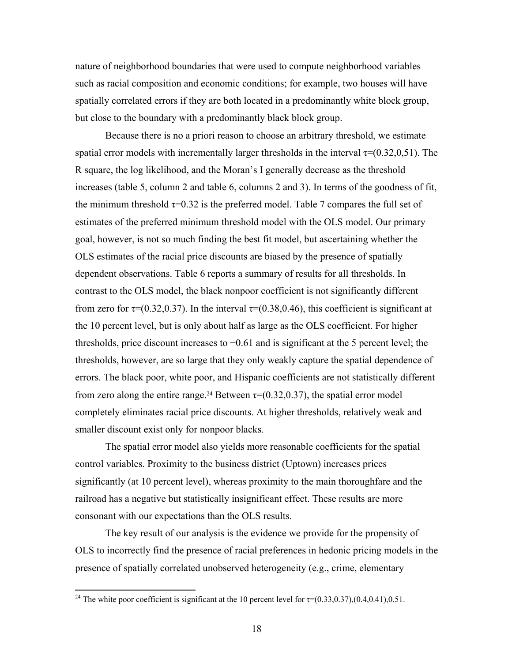nature of neighborhood boundaries that were used to compute neighborhood variables such as racial composition and economic conditions; for example, two houses will have spatially correlated errors if they are both located in a predominantly white block group, but close to the boundary with a predominantly black block group.

Because there is no a priori reason to choose an arbitrary threshold, we estimate spatial error models with incrementally larger thresholds in the interval  $\tau=(0.32,0,51)$ . The R square, the log likelihood, and the Moran's I generally decrease as the threshold increases (table 5, column 2 and table 6, columns 2 and 3). In terms of the goodness of fit, the minimum threshold  $\tau=0.32$  is the preferred model. Table 7 compares the full set of estimates of the preferred minimum threshold model with the OLS model. Our primary goal, however, is not so much finding the best fit model, but ascertaining whether the OLS estimates of the racial price discounts are biased by the presence of spatially dependent observations. Table 6 reports a summary of results for all thresholds. In contrast to the OLS model, the black nonpoor coefficient is not significantly different from zero for  $\tau$ =(0.32,0.37). In the interval  $\tau$ =(0.38,0.46), this coefficient is significant at the 10 percent level, but is only about half as large as the OLS coefficient. For higher thresholds, price discount increases to −0.61 and is significant at the 5 percent level; the thresholds, however, are so large that they only weakly capture the spatial dependence of errors. The black poor, white poor, and Hispanic coefficients are not statistically different from zero along the entire range.<sup>24</sup> Between  $\tau$ =(0.32,0.37), the spatial error model completely eliminates racial price discounts. At higher thresholds, relatively weak and smaller discount exist only for nonpoor blacks.

The spatial error model also yields more reasonable coefficients for the spatial control variables. Proximity to the business district (Uptown) increases prices significantly (at 10 percent level), whereas proximity to the main thoroughfare and the railroad has a negative but statistically insignificant effect. These results are more consonant with our expectations than the OLS results.

The key result of our analysis is the evidence we provide for the propensity of OLS to incorrectly find the presence of racial preferences in hedonic pricing models in the presence of spatially correlated unobserved heterogeneity (e.g., crime, elementary

<sup>&</sup>lt;sup>24</sup> The white poor coefficient is significant at the 10 percent level for  $\tau$ =(0.33,0.37),(0.4,0.41),0.51.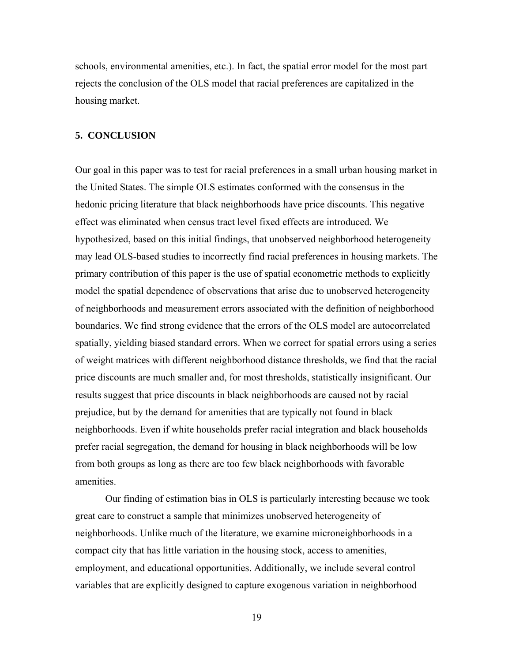schools, environmental amenities, etc.). In fact, the spatial error model for the most part rejects the conclusion of the OLS model that racial preferences are capitalized in the housing market.

### **5. CONCLUSION**

Our goal in this paper was to test for racial preferences in a small urban housing market in the United States. The simple OLS estimates conformed with the consensus in the hedonic pricing literature that black neighborhoods have price discounts. This negative effect was eliminated when census tract level fixed effects are introduced. We hypothesized, based on this initial findings, that unobserved neighborhood heterogeneity may lead OLS-based studies to incorrectly find racial preferences in housing markets. The primary contribution of this paper is the use of spatial econometric methods to explicitly model the spatial dependence of observations that arise due to unobserved heterogeneity of neighborhoods and measurement errors associated with the definition of neighborhood boundaries. We find strong evidence that the errors of the OLS model are autocorrelated spatially, yielding biased standard errors. When we correct for spatial errors using a series of weight matrices with different neighborhood distance thresholds, we find that the racial price discounts are much smaller and, for most thresholds, statistically insignificant. Our results suggest that price discounts in black neighborhoods are caused not by racial prejudice, but by the demand for amenities that are typically not found in black neighborhoods. Even if white households prefer racial integration and black households prefer racial segregation, the demand for housing in black neighborhoods will be low from both groups as long as there are too few black neighborhoods with favorable amenities.

Our finding of estimation bias in OLS is particularly interesting because we took great care to construct a sample that minimizes unobserved heterogeneity of neighborhoods. Unlike much of the literature, we examine microneighborhoods in a compact city that has little variation in the housing stock, access to amenities, employment, and educational opportunities. Additionally, we include several control variables that are explicitly designed to capture exogenous variation in neighborhood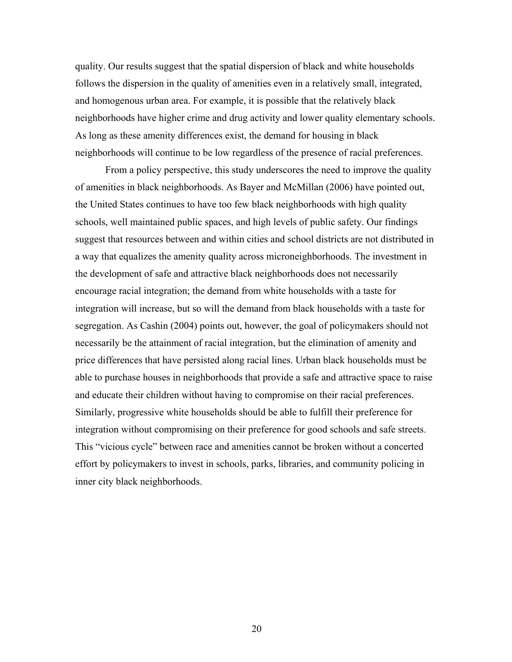quality. Our results suggest that the spatial dispersion of black and white households follows the dispersion in the quality of amenities even in a relatively small, integrated, and homogenous urban area. For example, it is possible that the relatively black neighborhoods have higher crime and drug activity and lower quality elementary schools. As long as these amenity differences exist, the demand for housing in black neighborhoods will continue to be low regardless of the presence of racial preferences.

From a policy perspective, this study underscores the need to improve the quality of amenities in black neighborhoods. As Bayer and McMillan (2006) have pointed out, the United States continues to have too few black neighborhoods with high quality schools, well maintained public spaces, and high levels of public safety. Our findings suggest that resources between and within cities and school districts are not distributed in a way that equalizes the amenity quality across microneighborhoods. The investment in the development of safe and attractive black neighborhoods does not necessarily encourage racial integration; the demand from white households with a taste for integration will increase, but so will the demand from black households with a taste for segregation. As Cashin (2004) points out, however, the goal of policymakers should not necessarily be the attainment of racial integration, but the elimination of amenity and price differences that have persisted along racial lines. Urban black households must be able to purchase houses in neighborhoods that provide a safe and attractive space to raise and educate their children without having to compromise on their racial preferences. Similarly, progressive white households should be able to fulfill their preference for integration without compromising on their preference for good schools and safe streets. This "vicious cycle" between race and amenities cannot be broken without a concerted effort by policymakers to invest in schools, parks, libraries, and community policing in inner city black neighborhoods.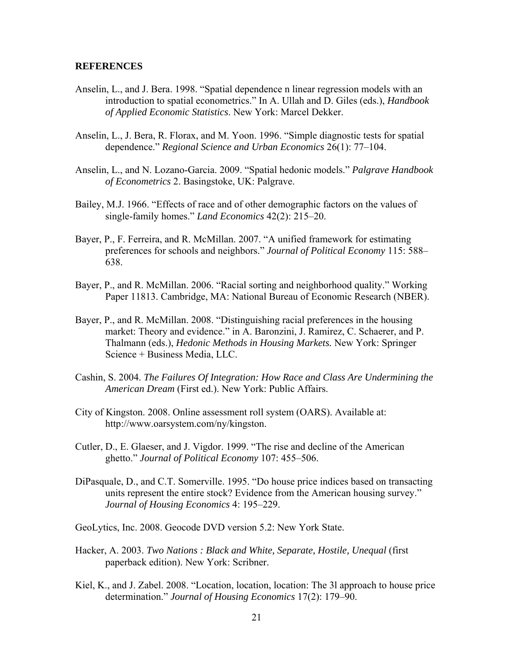#### **REFERENCES**

- Anselin, L., and J. Bera. 1998. "Spatial dependence n linear regression models with an introduction to spatial econometrics." In A. Ullah and D. Giles (eds.), *Handbook of Applied Economic Statistics*. New York: Marcel Dekker.
- Anselin, L., J. Bera, R. Florax, and M. Yoon. 1996. "Simple diagnostic tests for spatial dependence." *Regional Science and Urban Economics* 26(1): 77–104.
- Anselin, L., and N. Lozano-Garcia. 2009. "Spatial hedonic models." *Palgrave Handbook of Econometrics* 2. Basingstoke, UK: Palgrave.
- Bailey, M.J. 1966. "Effects of race and of other demographic factors on the values of single-family homes." *Land Economics* 42(2): 215–20.
- Bayer, P., F. Ferreira, and R. McMillan. 2007. "A unified framework for estimating preferences for schools and neighbors." *Journal of Political Economy* 115: 588– 638.
- Bayer, P., and R. McMillan. 2006. "Racial sorting and neighborhood quality." Working Paper 11813. Cambridge, MA: National Bureau of Economic Research (NBER).
- Bayer, P., and R. McMillan. 2008. "Distinguishing racial preferences in the housing market: Theory and evidence." in A. Baronzini, J. Ramirez, C. Schaerer, and P. Thalmann (eds.), *Hedonic Methods in Housing Markets.* New York: Springer Science + Business Media, LLC.
- Cashin, S. 2004. *The Failures Of Integration: How Race and Class Are Undermining the American Dream* (First ed.). New York: Public Affairs.
- City of Kingston. 2008. Online assessment roll system (OARS). Available at: http://www.oarsystem.com/ny/kingston.
- Cutler, D., E. Glaeser, and J. Vigdor. 1999. "The rise and decline of the American ghetto." *Journal of Political Economy* 107: 455–506.
- DiPasquale, D., and C.T. Somerville. 1995. "Do house price indices based on transacting units represent the entire stock? Evidence from the American housing survey." *Journal of Housing Economics* 4: 195–229.
- GeoLytics, Inc. 2008. Geocode DVD version 5.2: New York State.
- Hacker, A. 2003. *Two Nations : Black and White, Separate, Hostile, Unequal* (first paperback edition). New York: Scribner.
- Kiel, K., and J. Zabel. 2008. "Location, location, location: The 3l approach to house price determination." *Journal of Housing Economics* 17(2): 179–90.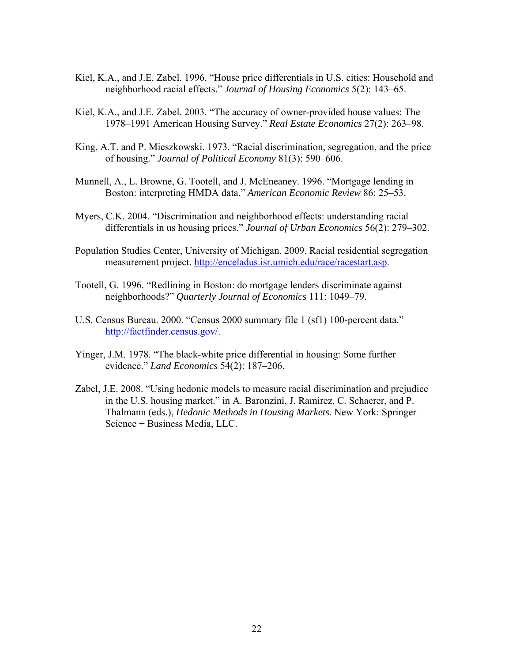- Kiel, K.A., and J.E. Zabel. 1996. "House price differentials in U.S. cities: Household and neighborhood racial effects." *Journal of Housing Economics* 5(2): 143–65.
- Kiel, K.A., and J.E. Zabel. 2003. "The accuracy of owner-provided house values: The 1978–1991 American Housing Survey." *Real Estate Economics* 27(2): 263–98.
- King, A.T. and P. Mieszkowski. 1973. "Racial discrimination, segregation, and the price of housing." *Journal of Political Economy* 81(3): 590–606.
- Munnell, A., L. Browne, G. Tootell, and J. McEneaney. 1996. "Mortgage lending in Boston: interpreting HMDA data." *American Economic Review* 86: 25–53.
- Myers, C.K. 2004. "Discrimination and neighborhood effects: understanding racial differentials in us housing prices." *Journal of Urban Economics* 56(2): 279–302.
- Population Studies Center, University of Michigan. 2009. Racial residential segregation measurement project. http://enceladus.isr.umich.edu/race/racestart.asp.
- Tootell, G. 1996. "Redlining in Boston: do mortgage lenders discriminate against neighborhoods?" *Quarterly Journal of Economics* 111: 1049–79.
- U.S. Census Bureau. 2000. "Census 2000 summary file 1 (sf1) 100-percent data." http://factfinder.census.gov/.
- Yinger, J.M. 1978. "The black-white price differential in housing: Some further evidence." *Land Economics* 54(2): 187–206.
- Zabel, J.E. 2008. "Using hedonic models to measure racial discrimination and prejudice in the U.S. housing market." in A. Baronzini, J. Ramirez, C. Schaerer, and P. Thalmann (eds.), *Hedonic Methods in Housing Markets.* New York: Springer Science + Business Media, LLC.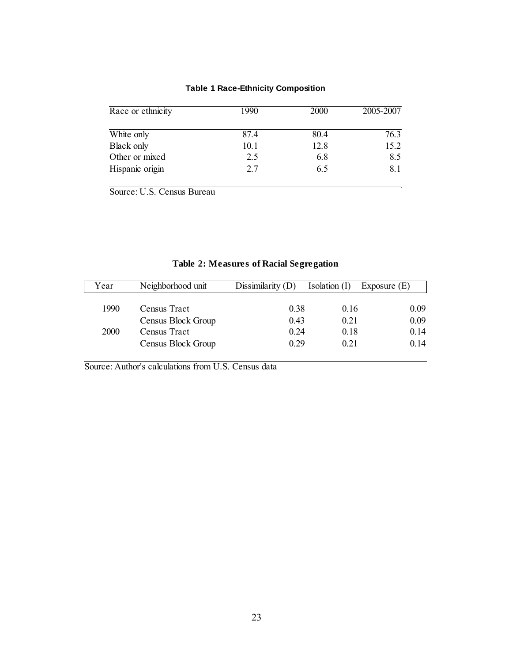|  | <b>Table 1 Race-Ethnicity Composition</b> |  |
|--|-------------------------------------------|--|
|--|-------------------------------------------|--|

| Race or ethnicity | 1990 | <b>2000</b> | 2005-2007 |
|-------------------|------|-------------|-----------|
|                   |      |             |           |
| White only        | 874  | 80.4        | 76.3      |
| <b>Black only</b> | 10.1 | 12.8        | 15.2      |
| Other or mixed    | 2.5  | 6.8         | 8.5       |
| Hispanic origin   | 2.7  | 6.5         | 8.1       |

Source: U.S. Census Bureau

| Year        | Neighborhood unit  | Dissimilarity $(D)$ | Isolation $(I)$ | Exposure $(E)$ |
|-------------|--------------------|---------------------|-----------------|----------------|
|             |                    |                     |                 |                |
| 1990        | Census Tract       | 0.38                | 0.16            | 0.09           |
|             | Census Block Group | 0.43                | 0.21            | 0.09           |
| <b>2000</b> | Census Tract       | 0.24                | 0.18            | 0.14           |
|             | Census Block Group | 0.29                | 0.21            | 0.14           |

## **Table 2: Measures of Racial Segregation**

Source: Author's calculations from U.S. Census data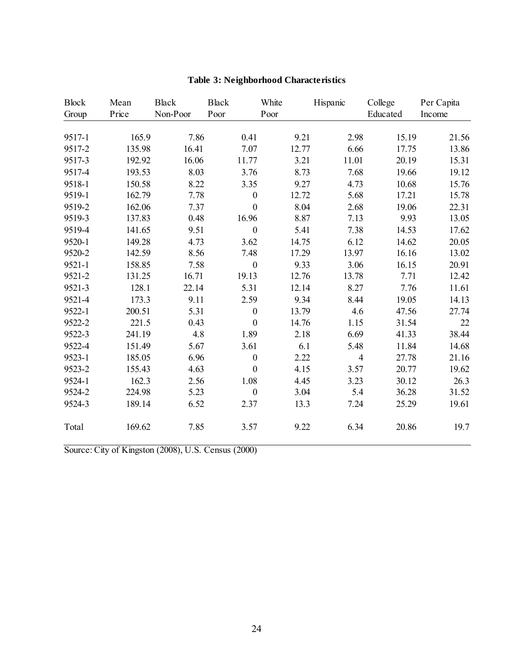| <b>Block</b> | Mean   | <b>Black</b> | <b>Black</b>     | White | Hispanic       | College  | Per Capita |
|--------------|--------|--------------|------------------|-------|----------------|----------|------------|
| Group        | Price  | Non-Poor     | Poor             | Poor  |                | Educated | Income     |
|              |        |              |                  |       |                |          |            |
| 9517-1       | 165.9  | 7.86         | 0.41             | 9.21  | 2.98           | 15.19    | 21.56      |
| 9517-2       | 135.98 | 16.41        | 7.07             | 12.77 | 6.66           | 17.75    | 13.86      |
| 9517-3       | 192.92 | 16.06        | 11.77            | 3.21  | 11.01          | 20.19    | 15.31      |
| 9517-4       | 193.53 | 8.03         | 3.76             | 8.73  | 7.68           | 19.66    | 19.12      |
| 9518-1       | 150.58 | 8.22         | 3.35             | 9.27  | 4.73           | 10.68    | 15.76      |
| 9519-1       | 162.79 | 7.78         | $\boldsymbol{0}$ | 12.72 | 5.68           | 17.21    | 15.78      |
| 9519-2       | 162.06 | 7.37         | $\boldsymbol{0}$ | 8.04  | 2.68           | 19.06    | 22.31      |
| 9519-3       | 137.83 | 0.48         | 16.96            | 8.87  | 7.13           | 9.93     | 13.05      |
| 9519-4       | 141.65 | 9.51         | $\boldsymbol{0}$ | 5.41  | 7.38           | 14.53    | 17.62      |
| 9520-1       | 149.28 | 4.73         | 3.62             | 14.75 | 6.12           | 14.62    | 20.05      |
| 9520-2       | 142.59 | 8.56         | 7.48             | 17.29 | 13.97          | 16.16    | 13.02      |
| $9521 - 1$   | 158.85 | 7.58         | $\boldsymbol{0}$ | 9.33  | 3.06           | 16.15    | 20.91      |
| 9521-2       | 131.25 | 16.71        | 19.13            | 12.76 | 13.78          | 7.71     | 12.42      |
| 9521-3       | 128.1  | 22.14        | 5.31             | 12.14 | 8.27           | 7.76     | 11.61      |
| 9521-4       | 173.3  | 9.11         | 2.59             | 9.34  | 8.44           | 19.05    | 14.13      |
| 9522-1       | 200.51 | 5.31         | $\boldsymbol{0}$ | 13.79 | 4.6            | 47.56    | 27.74      |
| 9522-2       | 221.5  | 0.43         | $\boldsymbol{0}$ | 14.76 | 1.15           | 31.54    | 22         |
| 9522-3       | 241.19 | 4.8          | 1.89             | 2.18  | 6.69           | 41.33    | 38.44      |
| 9522-4       | 151.49 | 5.67         | 3.61             | 6.1   | 5.48           | 11.84    | 14.68      |
| 9523-1       | 185.05 | 6.96         | $\boldsymbol{0}$ | 2.22  | $\overline{4}$ | 27.78    | 21.16      |
| 9523-2       | 155.43 | 4.63         | $\boldsymbol{0}$ | 4.15  | 3.57           | 20.77    | 19.62      |
| 9524-1       | 162.3  | 2.56         | 1.08             | 4.45  | 3.23           | 30.12    | 26.3       |
| 9524-2       | 224.98 | 5.23         | $\boldsymbol{0}$ | 3.04  | 5.4            | 36.28    | 31.52      |
| 9524-3       | 189.14 | 6.52         | 2.37             | 13.3  | 7.24           | 25.29    | 19.61      |
| Total        | 169.62 | 7.85         | 3.57             | 9.22  | 6.34           | 20.86    | 19.7       |

# **Table 3: Neighborhood Characteristics**

Source: City of Kingston (2008), U.S. Census (2000)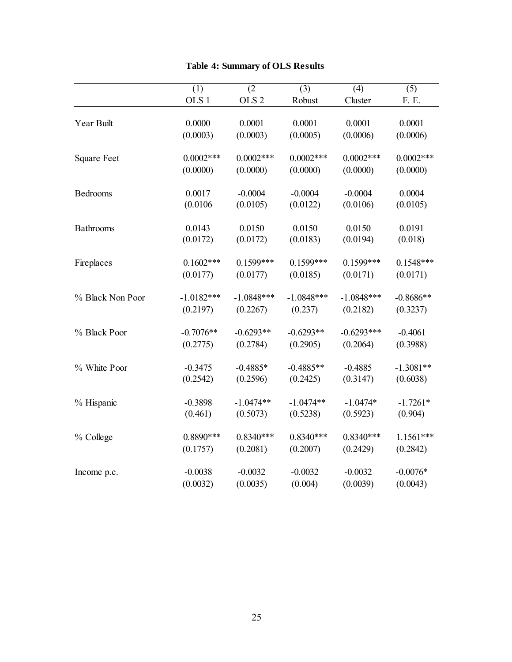| OLS <sub>1</sub><br>OLS <sub>2</sub><br>Robust<br>Cluster<br>F. E.<br>0.0001<br>0.0001<br>0.0001<br>0.0001<br>Year Built<br>0.0000<br>(0.0003)<br>(0.0003)<br>(0.0005)<br>(0.0006)<br>(0.0006)<br>$0.0002***$<br>$0.0002***$<br>$0.0002***$<br>$0.0002***$<br>$0.0002***$<br><b>Square Feet</b><br>(0.0000)<br>(0.0000)<br>(0.0000)<br>(0.0000)<br>(0.0000)<br>0.0017<br>$-0.0004$<br>$-0.0004$<br>$-0.0004$<br>0.0004<br>Bedrooms<br>(0.0106)<br>(0.0105)<br>(0.0106)<br>(0.0105)<br>(0.0122)<br>0.0143<br>0.0150<br>0.0150<br>0.0150<br>0.0191<br><b>Bathrooms</b><br>(0.0172)<br>(0.0172)<br>(0.0183)<br>(0.0194)<br>(0.018)<br>$0.1599***$<br>$0.1602***$<br>$0.1599***$<br>$0.1599***$<br>$0.1548***$<br>Fireplaces<br>(0.0177)<br>(0.0177)<br>(0.0185)<br>(0.0171)<br>(0.0171)<br>% Black Non Poor<br>$-1.0182***$<br>$-1.0848***$<br>$-1.0848***$<br>$-1.0848***$<br>$-0.8686**$<br>(0.2197)<br>(0.2267)<br>(0.237)<br>(0.2182)<br>(0.3237)<br>$-0.6293**$<br>% Black Poor<br>$-0.7076**$<br>$-0.6293**$<br>$-0.6293***$<br>$-0.4061$<br>(0.2775)<br>(0.2784)<br>(0.2905)<br>(0.3988)<br>(0.2064)<br>% White Poor<br>$-0.3475$<br>$-0.4885*$<br>$-0.4885**$<br>$-0.4885$<br>$-1.3081**$<br>(0.2542)<br>(0.2596)<br>(0.3147)<br>(0.2425)<br>(0.6038)<br>$-1.0474**$<br>$-1.0474**$<br>$-1.0474*$<br>$-0.3898$<br>$-1.7261*$<br>% Hispanic<br>(0.461)<br>(0.5073)<br>(0.5923)<br>(0.904)<br>(0.5238)<br>$0.8890***$<br>$0.8340***$<br>$0.8340***$<br>$0.8340***$<br>$1.1561***$<br>% College | (1) | (2) | (3) | (4) | (5) |
|---------------------------------------------------------------------------------------------------------------------------------------------------------------------------------------------------------------------------------------------------------------------------------------------------------------------------------------------------------------------------------------------------------------------------------------------------------------------------------------------------------------------------------------------------------------------------------------------------------------------------------------------------------------------------------------------------------------------------------------------------------------------------------------------------------------------------------------------------------------------------------------------------------------------------------------------------------------------------------------------------------------------------------------------------------------------------------------------------------------------------------------------------------------------------------------------------------------------------------------------------------------------------------------------------------------------------------------------------------------------------------------------------------------------------------------------------------------------------------------------------|-----|-----|-----|-----|-----|
|                                                                                                                                                                                                                                                                                                                                                                                                                                                                                                                                                                                                                                                                                                                                                                                                                                                                                                                                                                                                                                                                                                                                                                                                                                                                                                                                                                                                                                                                                                   |     |     |     |     |     |
|                                                                                                                                                                                                                                                                                                                                                                                                                                                                                                                                                                                                                                                                                                                                                                                                                                                                                                                                                                                                                                                                                                                                                                                                                                                                                                                                                                                                                                                                                                   |     |     |     |     |     |
|                                                                                                                                                                                                                                                                                                                                                                                                                                                                                                                                                                                                                                                                                                                                                                                                                                                                                                                                                                                                                                                                                                                                                                                                                                                                                                                                                                                                                                                                                                   |     |     |     |     |     |
|                                                                                                                                                                                                                                                                                                                                                                                                                                                                                                                                                                                                                                                                                                                                                                                                                                                                                                                                                                                                                                                                                                                                                                                                                                                                                                                                                                                                                                                                                                   |     |     |     |     |     |
|                                                                                                                                                                                                                                                                                                                                                                                                                                                                                                                                                                                                                                                                                                                                                                                                                                                                                                                                                                                                                                                                                                                                                                                                                                                                                                                                                                                                                                                                                                   |     |     |     |     |     |
|                                                                                                                                                                                                                                                                                                                                                                                                                                                                                                                                                                                                                                                                                                                                                                                                                                                                                                                                                                                                                                                                                                                                                                                                                                                                                                                                                                                                                                                                                                   |     |     |     |     |     |
|                                                                                                                                                                                                                                                                                                                                                                                                                                                                                                                                                                                                                                                                                                                                                                                                                                                                                                                                                                                                                                                                                                                                                                                                                                                                                                                                                                                                                                                                                                   |     |     |     |     |     |
|                                                                                                                                                                                                                                                                                                                                                                                                                                                                                                                                                                                                                                                                                                                                                                                                                                                                                                                                                                                                                                                                                                                                                                                                                                                                                                                                                                                                                                                                                                   |     |     |     |     |     |
|                                                                                                                                                                                                                                                                                                                                                                                                                                                                                                                                                                                                                                                                                                                                                                                                                                                                                                                                                                                                                                                                                                                                                                                                                                                                                                                                                                                                                                                                                                   |     |     |     |     |     |
|                                                                                                                                                                                                                                                                                                                                                                                                                                                                                                                                                                                                                                                                                                                                                                                                                                                                                                                                                                                                                                                                                                                                                                                                                                                                                                                                                                                                                                                                                                   |     |     |     |     |     |
|                                                                                                                                                                                                                                                                                                                                                                                                                                                                                                                                                                                                                                                                                                                                                                                                                                                                                                                                                                                                                                                                                                                                                                                                                                                                                                                                                                                                                                                                                                   |     |     |     |     |     |
|                                                                                                                                                                                                                                                                                                                                                                                                                                                                                                                                                                                                                                                                                                                                                                                                                                                                                                                                                                                                                                                                                                                                                                                                                                                                                                                                                                                                                                                                                                   |     |     |     |     |     |
|                                                                                                                                                                                                                                                                                                                                                                                                                                                                                                                                                                                                                                                                                                                                                                                                                                                                                                                                                                                                                                                                                                                                                                                                                                                                                                                                                                                                                                                                                                   |     |     |     |     |     |
|                                                                                                                                                                                                                                                                                                                                                                                                                                                                                                                                                                                                                                                                                                                                                                                                                                                                                                                                                                                                                                                                                                                                                                                                                                                                                                                                                                                                                                                                                                   |     |     |     |     |     |
|                                                                                                                                                                                                                                                                                                                                                                                                                                                                                                                                                                                                                                                                                                                                                                                                                                                                                                                                                                                                                                                                                                                                                                                                                                                                                                                                                                                                                                                                                                   |     |     |     |     |     |
|                                                                                                                                                                                                                                                                                                                                                                                                                                                                                                                                                                                                                                                                                                                                                                                                                                                                                                                                                                                                                                                                                                                                                                                                                                                                                                                                                                                                                                                                                                   |     |     |     |     |     |
|                                                                                                                                                                                                                                                                                                                                                                                                                                                                                                                                                                                                                                                                                                                                                                                                                                                                                                                                                                                                                                                                                                                                                                                                                                                                                                                                                                                                                                                                                                   |     |     |     |     |     |
|                                                                                                                                                                                                                                                                                                                                                                                                                                                                                                                                                                                                                                                                                                                                                                                                                                                                                                                                                                                                                                                                                                                                                                                                                                                                                                                                                                                                                                                                                                   |     |     |     |     |     |
|                                                                                                                                                                                                                                                                                                                                                                                                                                                                                                                                                                                                                                                                                                                                                                                                                                                                                                                                                                                                                                                                                                                                                                                                                                                                                                                                                                                                                                                                                                   |     |     |     |     |     |
|                                                                                                                                                                                                                                                                                                                                                                                                                                                                                                                                                                                                                                                                                                                                                                                                                                                                                                                                                                                                                                                                                                                                                                                                                                                                                                                                                                                                                                                                                                   |     |     |     |     |     |
|                                                                                                                                                                                                                                                                                                                                                                                                                                                                                                                                                                                                                                                                                                                                                                                                                                                                                                                                                                                                                                                                                                                                                                                                                                                                                                                                                                                                                                                                                                   |     |     |     |     |     |
|                                                                                                                                                                                                                                                                                                                                                                                                                                                                                                                                                                                                                                                                                                                                                                                                                                                                                                                                                                                                                                                                                                                                                                                                                                                                                                                                                                                                                                                                                                   |     |     |     |     |     |
|                                                                                                                                                                                                                                                                                                                                                                                                                                                                                                                                                                                                                                                                                                                                                                                                                                                                                                                                                                                                                                                                                                                                                                                                                                                                                                                                                                                                                                                                                                   |     |     |     |     |     |
|                                                                                                                                                                                                                                                                                                                                                                                                                                                                                                                                                                                                                                                                                                                                                                                                                                                                                                                                                                                                                                                                                                                                                                                                                                                                                                                                                                                                                                                                                                   |     |     |     |     |     |
|                                                                                                                                                                                                                                                                                                                                                                                                                                                                                                                                                                                                                                                                                                                                                                                                                                                                                                                                                                                                                                                                                                                                                                                                                                                                                                                                                                                                                                                                                                   |     |     |     |     |     |
|                                                                                                                                                                                                                                                                                                                                                                                                                                                                                                                                                                                                                                                                                                                                                                                                                                                                                                                                                                                                                                                                                                                                                                                                                                                                                                                                                                                                                                                                                                   |     |     |     |     |     |
|                                                                                                                                                                                                                                                                                                                                                                                                                                                                                                                                                                                                                                                                                                                                                                                                                                                                                                                                                                                                                                                                                                                                                                                                                                                                                                                                                                                                                                                                                                   |     |     |     |     |     |
|                                                                                                                                                                                                                                                                                                                                                                                                                                                                                                                                                                                                                                                                                                                                                                                                                                                                                                                                                                                                                                                                                                                                                                                                                                                                                                                                                                                                                                                                                                   |     |     |     |     |     |
| (0.2081)<br>(0.2007)<br>(0.2429)<br>(0.2842)<br>(0.1757)                                                                                                                                                                                                                                                                                                                                                                                                                                                                                                                                                                                                                                                                                                                                                                                                                                                                                                                                                                                                                                                                                                                                                                                                                                                                                                                                                                                                                                          |     |     |     |     |     |
| $-0.0038$<br>$-0.0032$<br>$-0.0032$<br>$-0.0032$<br>$-0.0076*$<br>Income p.c.                                                                                                                                                                                                                                                                                                                                                                                                                                                                                                                                                                                                                                                                                                                                                                                                                                                                                                                                                                                                                                                                                                                                                                                                                                                                                                                                                                                                                     |     |     |     |     |     |
| (0.0032)<br>(0.0035)<br>(0.004)<br>(0.0039)<br>(0.0043)                                                                                                                                                                                                                                                                                                                                                                                                                                                                                                                                                                                                                                                                                                                                                                                                                                                                                                                                                                                                                                                                                                                                                                                                                                                                                                                                                                                                                                           |     |     |     |     |     |
|                                                                                                                                                                                                                                                                                                                                                                                                                                                                                                                                                                                                                                                                                                                                                                                                                                                                                                                                                                                                                                                                                                                                                                                                                                                                                                                                                                                                                                                                                                   |     |     |     |     |     |

## **Table 4: Summary of OLS Results**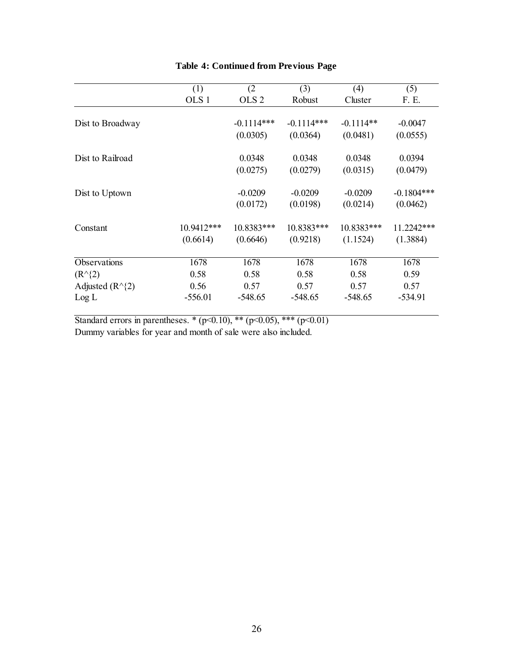|                            | (1)              | (2)              | (3)          | (4)         | (5)          |
|----------------------------|------------------|------------------|--------------|-------------|--------------|
|                            | OLS <sub>1</sub> | OLS <sub>2</sub> | Robust       | Cluster     | F. E.        |
|                            |                  |                  |              |             |              |
| Dist to Broadway           |                  | $-0.1114***$     | $-0.1114***$ | $-0.1114**$ | $-0.0047$    |
|                            |                  | (0.0305)         | (0.0364)     | (0.0481)    | (0.0555)     |
| Dist to Railroad           |                  | 0.0348           | 0.0348       | 0.0348      | 0.0394       |
|                            |                  | (0.0275)         | (0.0279)     | (0.0315)    | (0.0479)     |
| Dist to Uptown             |                  | $-0.0209$        | $-0.0209$    | $-0.0209$   | $-0.1804***$ |
|                            |                  | (0.0172)         | (0.0198)     | (0.0214)    | (0.0462)     |
| Constant                   | 10.9412***       | 10.8383***       | 10.8383***   | 10.8383***  | 11.2242***   |
|                            | (0.6614)         | (0.6646)         | (0.9218)     | (1.1524)    | (1.3884)     |
| Observations               | 1678             | 1678             | 1678         | 1678        | 1678         |
| $(R^{\wedge}{2})$          | 0.58             | 0.58             | 0.58         | 0.58        | 0.59         |
| Adjusted $(R^{\wedge}{2})$ | 0.56             | 0.57             | 0.57         | 0.57        | 0.57         |
| Log L                      | $-556.01$        | $-548.65$        | $-548.65$    | $-548.65$   | $-534.91$    |

## **Table 4: Continued from Previous Page**

Standard errors in parentheses. \*  $(p<0.10)$ , \*\*  $(p<0.05)$ , \*\*\*  $(p<0.01)$ Dummy variables for year and month of sale were also included.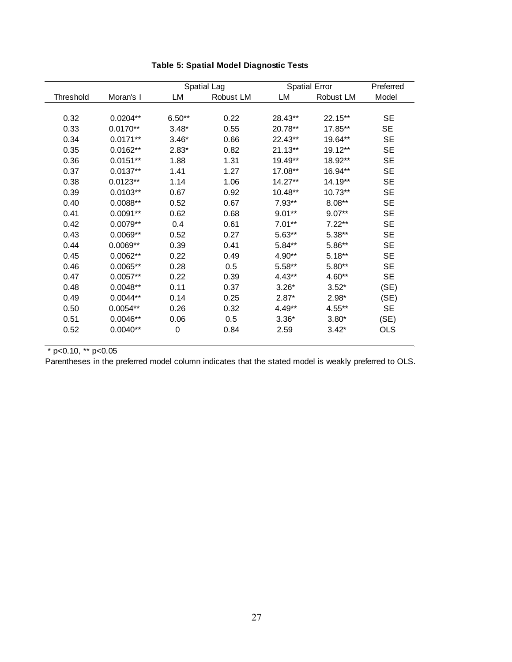|           |            |          | Spatial Lag |           | <b>Spatial Error</b> | Preferred  |
|-----------|------------|----------|-------------|-----------|----------------------|------------|
| Threshold | Moran's I  | LM       | Robust LM   | LM        | Robust LM            | Model      |
|           |            |          |             |           |                      |            |
| 0.32      | $0.0204**$ | $6.50**$ | 0.22        | 28.43**   | $22.15***$           | <b>SE</b>  |
| 0.33      | $0.0170**$ | $3.48*$  | 0.55        | 20.78**   | 17.85**              | <b>SE</b>  |
| 0.34      | $0.0171**$ | $3.46*$  | 0.66        | 22.43**   | 19.64**              | <b>SE</b>  |
| 0.35      | $0.0162**$ | $2.83*$  | 0.82        | $21.13**$ | $19.12**$            | <b>SE</b>  |
| 0.36      | $0.0151**$ | 1.88     | 1.31        | 19.49**   | 18.92**              | <b>SE</b>  |
| 0.37      | $0.0137**$ | 1.41     | 1.27        | $17.08**$ | 16.94**              | <b>SE</b>  |
| 0.38      | $0.0123**$ | 1.14     | 1.06        | 14.27**   | $14.19**$            | <b>SE</b>  |
| 0.39      | $0.0103**$ | 0.67     | 0.92        | 10.48**   | $10.73**$            | <b>SE</b>  |
| 0.40      | $0.0088**$ | 0.52     | 0.67        | $7.93**$  | $8.08**$             | <b>SE</b>  |
| 0.41      | $0.0091**$ | 0.62     | 0.68        | $9.01**$  | $9.07**$             | <b>SE</b>  |
| 0.42      | $0.0079**$ | 0.4      | 0.61        | $7.01**$  | $7.22**$             | <b>SE</b>  |
| 0.43      | $0.0069**$ | 0.52     | 0.27        | $5.63**$  | $5.38**$             | <b>SE</b>  |
| 0.44      | $0.0069**$ | 0.39     | 0.41        | $5.84**$  | 5.86**               | <b>SE</b>  |
| 0.45      | $0.0062**$ | 0.22     | 0.49        | 4.90**    | $5.18**$             | <b>SE</b>  |
| 0.46      | $0.0065**$ | 0.28     | 0.5         | $5.58**$  | $5.80**$             | SE         |
| 0.47      | $0.0057**$ | 0.22     | 0.39        | $4.43**$  | 4.60**               | SE         |
| 0.48      | $0.0048**$ | 0.11     | 0.37        | $3.26*$   | $3.52*$              | (SE)       |
| 0.49      | $0.0044**$ | 0.14     | 0.25        | $2.87*$   | $2.98*$              | (SE)       |
| 0.50      | $0.0054**$ | 0.26     | 0.32        | $4.49**$  | $4.55***$            | <b>SE</b>  |
| 0.51      | $0.0046**$ | 0.06     | 0.5         | $3.36*$   | $3.80*$              | (SE)       |
| 0.52      | $0.0040**$ | 0        | 0.84        | 2.59      | $3.42*$              | <b>OLS</b> |
|           |            |          |             |           |                      |            |

## **Table 5: Spatial Model Diagnostic Tests**

 $\overline{\ }$   $*$  p<0.10,  $\overline{\ }$  p<0.05

Parentheses in the preferred model column indicates that the stated model is weakly preferred to OLS.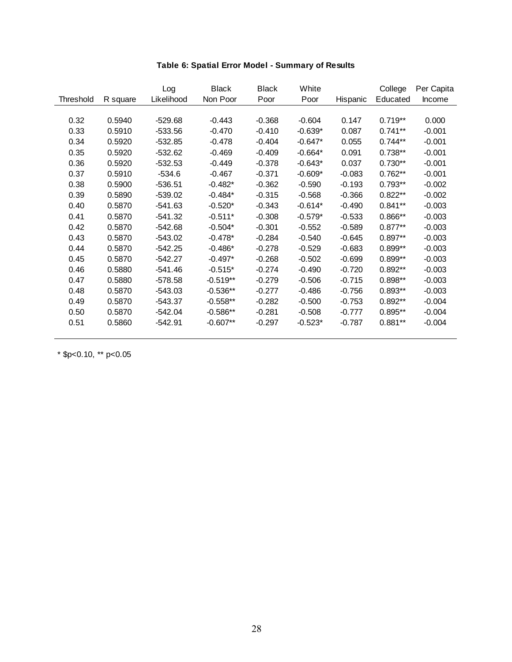|           |          | Log        | <b>Black</b> | <b>Black</b> | White     |          | College   | Per Capita |
|-----------|----------|------------|--------------|--------------|-----------|----------|-----------|------------|
| Threshold | R square | Likelihood | Non Poor     | Poor         | Poor      | Hispanic | Educated  | Income     |
|           |          |            |              |              |           |          |           |            |
| 0.32      | 0.5940   | $-529.68$  | $-0.443$     | $-0.368$     | $-0.604$  | 0.147    | $0.719**$ | 0.000      |
| 0.33      | 0.5910   | $-533.56$  | $-0.470$     | $-0.410$     | $-0.639*$ | 0.087    | $0.741**$ | $-0.001$   |
| 0.34      | 0.5920   | $-532.85$  | $-0.478$     | $-0.404$     | $-0.647*$ | 0.055    | $0.744**$ | $-0.001$   |
| 0.35      | 0.5920   | $-532.62$  | $-0.469$     | $-0.409$     | $-0.664*$ | 0.091    | $0.738**$ | $-0.001$   |
| 0.36      | 0.5920   | $-532.53$  | $-0.449$     | $-0.378$     | $-0.643*$ | 0.037    | $0.730**$ | $-0.001$   |
| 0.37      | 0.5910   | $-534.6$   | $-0.467$     | $-0.371$     | $-0.609*$ | $-0.083$ | $0.762**$ | $-0.001$   |
| 0.38      | 0.5900   | $-536.51$  | $-0.482*$    | $-0.362$     | $-0.590$  | $-0.193$ | $0.793**$ | $-0.002$   |
| 0.39      | 0.5890   | $-539.02$  | $-0.484*$    | $-0.315$     | $-0.568$  | $-0.366$ | $0.822**$ | $-0.002$   |
| 0.40      | 0.5870   | $-541.63$  | $-0.520*$    | $-0.343$     | $-0.614*$ | $-0.490$ | $0.841**$ | $-0.003$   |
| 0.41      | 0.5870   | $-541.32$  | $-0.511*$    | $-0.308$     | $-0.579*$ | $-0.533$ | $0.866**$ | $-0.003$   |
| 0.42      | 0.5870   | $-542.68$  | $-0.504*$    | $-0.301$     | $-0.552$  | $-0.589$ | $0.877**$ | $-0.003$   |
| 0.43      | 0.5870   | $-543.02$  | $-0.478*$    | $-0.284$     | $-0.540$  | $-0.645$ | $0.897**$ | $-0.003$   |
| 0.44      | 0.5870   | $-542.25$  | $-0.486*$    | $-0.278$     | $-0.529$  | $-0.683$ | $0.899**$ | $-0.003$   |
| 0.45      | 0.5870   | $-542.27$  | $-0.497*$    | $-0.268$     | $-0.502$  | $-0.699$ | $0.899**$ | $-0.003$   |
| 0.46      | 0.5880   | $-541.46$  | $-0.515*$    | $-0.274$     | $-0.490$  | $-0.720$ | $0.892**$ | $-0.003$   |
| 0.47      | 0.5880   | $-578.58$  | $-0.519**$   | $-0.279$     | $-0.506$  | $-0.715$ | $0.898**$ | $-0.003$   |
| 0.48      | 0.5870   | $-543.03$  | $-0.536**$   | $-0.277$     | $-0.486$  | $-0.756$ | $0.893**$ | $-0.003$   |
| 0.49      | 0.5870   | $-543.37$  | $-0.558**$   | $-0.282$     | $-0.500$  | $-0.753$ | $0.892**$ | $-0.004$   |
| 0.50      | 0.5870   | -542.04    | $-0.586**$   | $-0.281$     | $-0.508$  | $-0.777$ | $0.895**$ | $-0.004$   |
| 0.51      | 0.5860   | $-542.91$  | $-0.607**$   | $-0.297$     | $-0.523*$ | $-0.787$ | $0.881**$ | $-0.004$   |

## **Table 6: Spatial Error Model - Summary of Results**

\* \$p<0.10, \*\* p<0.05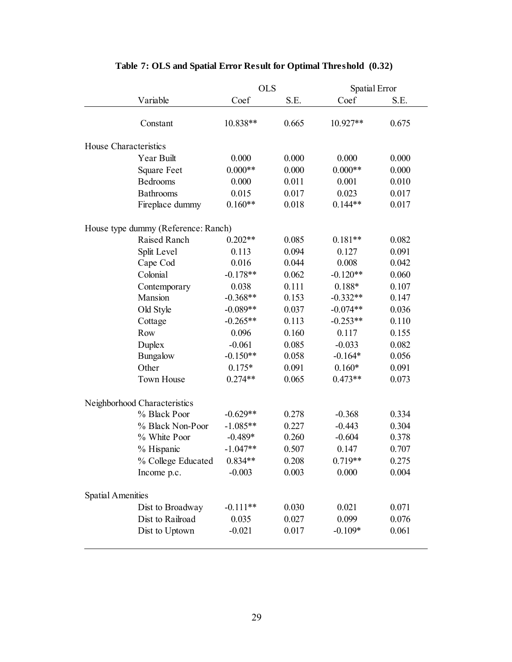|                                     | <b>OLS</b> |       | Spatial Error |       |
|-------------------------------------|------------|-------|---------------|-------|
| Variable                            | Coef       | S.E.  | Coef          | S.E.  |
|                                     | 10.838**   | 0.665 | 10.927**      | 0.675 |
| Constant                            |            |       |               |       |
| House Characteristics               |            |       |               |       |
| Year Built                          | 0.000      | 0.000 | 0.000         | 0.000 |
| <b>Square Feet</b>                  | $0.000**$  | 0.000 | $0.000**$     | 0.000 |
| Bedrooms                            | 0.000      | 0.011 | 0.001         | 0.010 |
| Bathrooms                           | 0.015      | 0.017 | 0.023         | 0.017 |
| Fireplace dummy                     | $0.160**$  | 0.018 | $0.144**$     | 0.017 |
| House type dummy (Reference: Ranch) |            |       |               |       |
| Raised Ranch                        | $0.202**$  | 0.085 | $0.181**$     | 0.082 |
| Split Level                         | 0.113      | 0.094 | 0.127         | 0.091 |
| Cape Cod                            | 0.016      | 0.044 | 0.008         | 0.042 |
| Colonial                            | $-0.178**$ | 0.062 | $-0.120**$    | 0.060 |
| Contemporary                        | 0.038      | 0.111 | $0.188*$      | 0.107 |
| Mansion                             | $-0.368**$ | 0.153 | $-0.332**$    | 0.147 |
| Old Style                           | $-0.089**$ | 0.037 | $-0.074**$    | 0.036 |
| Cottage                             | $-0.265**$ | 0.113 | $-0.253**$    | 0.110 |
| Row                                 | 0.096      | 0.160 | 0.117         | 0.155 |
| Duplex                              | $-0.061$   | 0.085 | $-0.033$      | 0.082 |
| Bungalow                            | $-0.150**$ | 0.058 | $-0.164*$     | 0.056 |
| Other                               | $0.175*$   | 0.091 | $0.160*$      | 0.091 |
| Town House                          | $0.274**$  | 0.065 | $0.473**$     | 0.073 |
| Neighborhood Characteristics        |            |       |               |       |
| % Black Poor                        | $-0.629**$ | 0.278 | $-0.368$      | 0.334 |
| % Black Non-Poor                    | $-1.085**$ | 0.227 | $-0.443$      | 0.304 |
| % White Poor                        | $-0.489*$  | 0.260 | $-0.604$      | 0.378 |
| % Hispanic                          | $-1.047**$ | 0.507 | 0.147         | 0.707 |
| % College Educated                  | $0.834**$  | 0.208 | $0.719**$     | 0.275 |
| Income p.c.                         | $-0.003$   | 0.003 | 0.000         | 0.004 |
| <b>Spatial Amenities</b>            |            |       |               |       |
| Dist to Broadway                    | $-0.111**$ | 0.030 | 0.021         | 0.071 |
| Dist to Railroad                    | 0.035      | 0.027 | 0.099         | 0.076 |
| Dist to Uptown                      | $-0.021$   | 0.017 | $-0.109*$     | 0.061 |
|                                     |            |       |               |       |

## **Table 7: OLS and Spatial Error Result for Optimal Threshold (0.32)**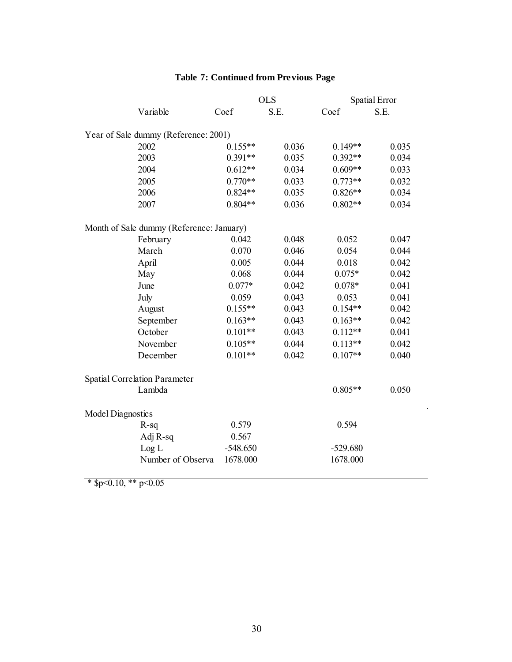|                          |                                          | <b>OLS</b> |       | Spatial Error |       |
|--------------------------|------------------------------------------|------------|-------|---------------|-------|
|                          | Variable                                 | Coef       | S.E.  | Coef          | S.E.  |
|                          | Year of Sale dummy (Reference: 2001)     |            |       |               |       |
|                          | 2002                                     | $0.155**$  | 0.036 | $0.149**$     | 0.035 |
|                          | 2003                                     | $0.391**$  | 0.035 | $0.392**$     | 0.034 |
|                          | 2004                                     | $0.612**$  | 0.034 | $0.609**$     | 0.033 |
|                          | 2005                                     | $0.770**$  | 0.033 | $0.773**$     | 0.032 |
|                          | 2006                                     | $0.824**$  | 0.035 | $0.826**$     | 0.034 |
|                          | 2007                                     | $0.804**$  | 0.036 | $0.802**$     | 0.034 |
|                          | Month of Sale dummy (Reference: January) |            |       |               |       |
|                          | February                                 | 0.042      | 0.048 | 0.052         | 0.047 |
|                          | March                                    | 0.070      | 0.046 | 0.054         | 0.044 |
|                          | April                                    | 0.005      | 0.044 | 0.018         | 0.042 |
|                          | May                                      | 0.068      | 0.044 | $0.075*$      | 0.042 |
|                          | June                                     | $0.077*$   | 0.042 | $0.078*$      | 0.041 |
|                          | July                                     | 0.059      | 0.043 | 0.053         | 0.041 |
|                          | August                                   | $0.155**$  | 0.043 | $0.154**$     | 0.042 |
|                          | September                                | $0.163**$  | 0.043 | $0.163**$     | 0.042 |
|                          | October                                  | $0.101**$  | 0.043 | $0.112**$     | 0.041 |
|                          | November                                 | $0.105**$  | 0.044 | $0.113**$     | 0.042 |
|                          | December                                 | $0.101**$  | 0.042 | $0.107**$     | 0.040 |
|                          | <b>Spatial Correlation Parameter</b>     |            |       |               |       |
|                          | Lambda                                   |            |       | $0.805**$     | 0.050 |
| <b>Model Diagnostics</b> |                                          |            |       |               |       |
|                          | $R-sq$                                   | 0.579      |       | 0.594         |       |
|                          | Adj R-sq                                 | 0.567      |       |               |       |
|                          | Log L                                    | $-548.650$ |       | $-529.680$    |       |
|                          | Number of Observa                        | 1678.000   |       | 1678.000      |       |

## **Table 7: Continued from Previous Page**

 $\overline{\text{* }\$p<0.10, \text{** }p<0.05}$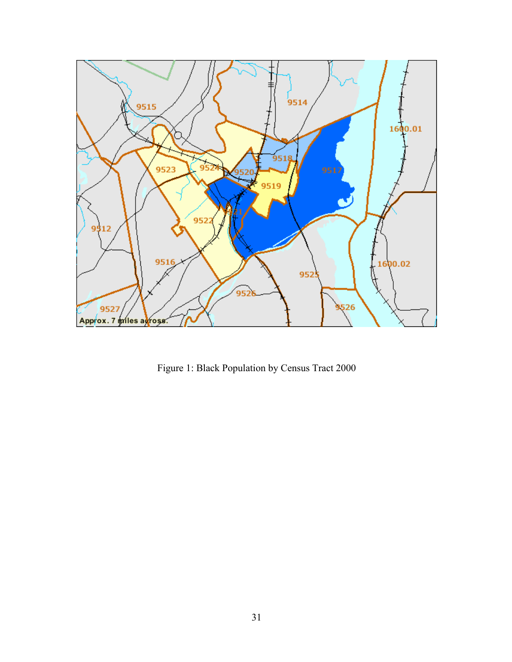

Figure 1: Black Population by Census Tract 2000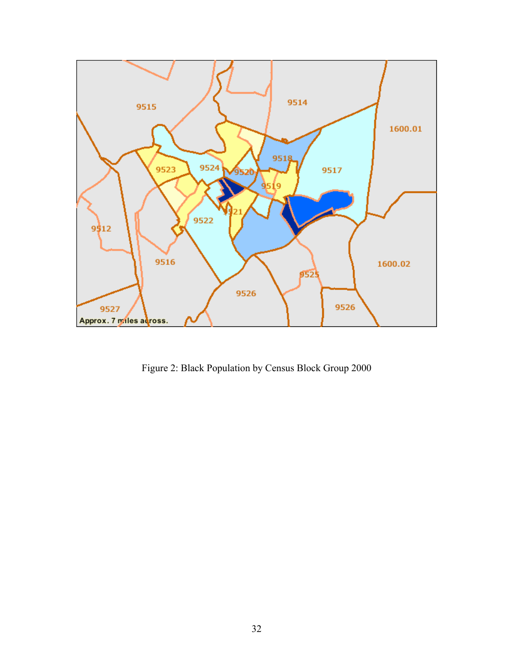

Figure 2: Black Population by Census Block Group 2000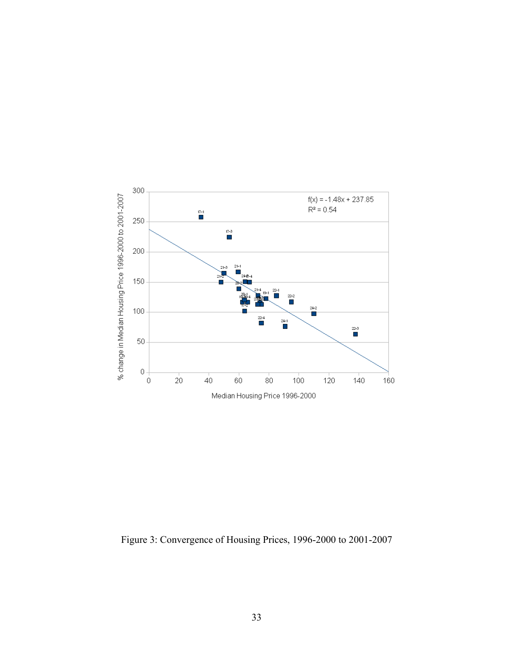

Figure 3: Convergence of Housing Prices, 1996-2000 to 2001-2007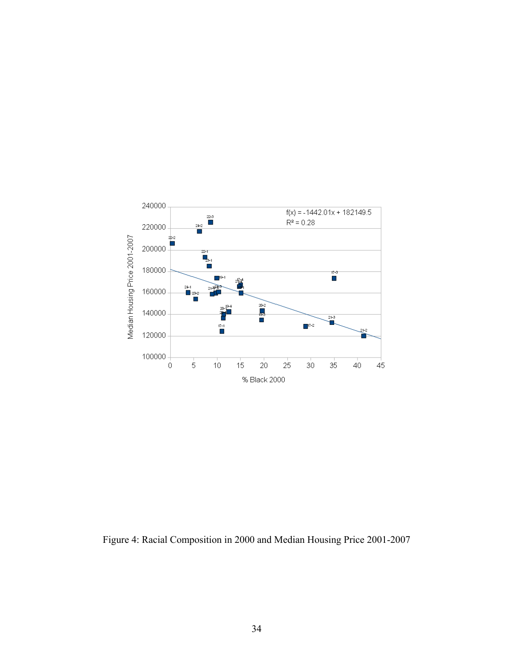

Figure 4: Racial Composition in 2000 and Median Housing Price 2001-2007